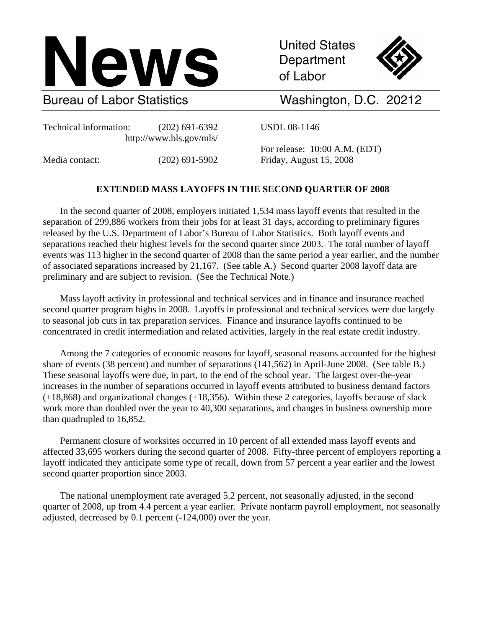

Department of Labor



Bureau of Labor Statistics Washington, D.C. 20212

Technical information: (202) 691-6392 USDL 08-1146 http://www.bls.gov/mls/

 For release: 10:00 A.M. (EDT) Media contact: (202) 691-5902 Friday, August 15, 2008

# **EXTENDED MASS LAYOFFS IN THE SECOND QUARTER OF 2008**

In the second quarter of 2008, employers initiated 1,534 mass layoff events that resulted in the separation of 299,886 workers from their jobs for at least 31 days, according to preliminary figures released by the U.S. Department of Labor's Bureau of Labor Statistics. Both layoff events and separations reached their highest levels for the second quarter since 2003. The total number of layoff events was 113 higher in the second quarter of 2008 than the same period a year earlier, and the number of associated separations increased by 21,167. (See table A.) Second quarter 2008 layoff data are preliminary and are subject to revision. (See the Technical Note.)

Mass layoff activity in professional and technical services and in finance and insurance reached second quarter program highs in 2008. Layoffs in professional and technical services were due largely to seasonal job cuts in tax preparation services. Finance and insurance layoffs continued to be concentrated in credit intermediation and related activities, largely in the real estate credit industry.

Among the 7 categories of economic reasons for layoff, seasonal reasons accounted for the highest share of events (38 percent) and number of separations (141,562) in April-June 2008. (See table B.) These seasonal layoffs were due, in part, to the end of the school year. The largest over-the-year increases in the number of separations occurred in layoff events attributed to business demand factors (+18,868) and organizational changes (+18,356). Within these 2 categories, layoffs because of slack work more than doubled over the year to 40,300 separations, and changes in business ownership more than quadrupled to 16,852.

Permanent closure of worksites occurred in 10 percent of all extended mass layoff events and affected 33,695 workers during the second quarter of 2008. Fifty-three percent of employers reporting a layoff indicated they anticipate some type of recall, down from 57 percent a year earlier and the lowest second quarter proportion since 2003.

The national unemployment rate averaged 5.2 percent, not seasonally adjusted, in the second quarter of 2008, up from 4.4 percent a year earlier. Private nonfarm payroll employment, not seasonally adjusted, decreased by 0.1 percent (-124,000) over the year.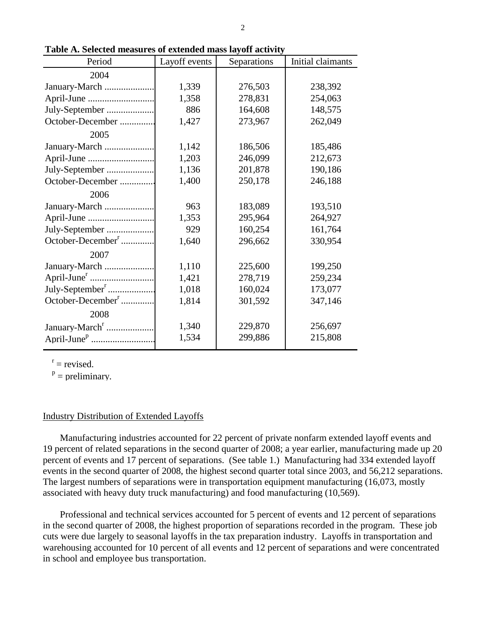| Period                        | Layoff events | Separations | Initial claimants |
|-------------------------------|---------------|-------------|-------------------|
| 2004                          |               |             |                   |
| January-March                 | 1,339         | 276,503     | 238,392           |
|                               | 1,358         | 278,831     | 254,063           |
| July-September                | 886           | 164,608     | 148,575           |
| October-December              | 1,427         | 273,967     | 262,049           |
| 2005                          |               |             |                   |
| January-March                 | 1,142         | 186,506     | 185,486           |
|                               | 1,203         | 246,099     | 212,673           |
| July-September                | 1,136         | 201,878     | 190,186           |
| October-December              | 1,400         | 250,178     | 246,188           |
| 2006                          |               |             |                   |
| January-March                 | 963           | 183,089     | 193,510           |
|                               | 1,353         | 295,964     | 264,927           |
| July-September                | 929           | 160,254     | 161,764           |
| October-December <sup>r</sup> | 1,640         | 296,662     | 330,954           |
| 2007                          |               |             |                   |
| January-March                 | 1,110         | 225,600     | 199,250           |
|                               | 1,421         | 278,719     | 259,234           |
| July-September <sup>r</sup>   | 1,018         | 160,024     | 173,077           |
| October-December <sup>r</sup> | 1,814         | 301,592     | 347,146           |
| 2008                          |               |             |                   |
| January-March <sup>r</sup>    | 1,340         | 229,870     | 256,697           |
|                               | 1,534         | 299,886     | 215,808           |

**Table A. Selected measures of extended mass layoff activity**

 $r =$  revised.

 $P =$  preliminary.

## Industry Distribution of Extended Layoffs

Manufacturing industries accounted for 22 percent of private nonfarm extended layoff events and 19 percent of related separations in the second quarter of 2008; a year earlier, manufacturing made up 20 percent of events and 17 percent of separations. (See table 1.) Manufacturing had 334 extended layoff events in the second quarter of 2008, the highest second quarter total since 2003, and 56,212 separations. The largest numbers of separations were in transportation equipment manufacturing (16,073, mostly associated with heavy duty truck manufacturing) and food manufacturing (10,569).

Professional and technical services accounted for 5 percent of events and 12 percent of separations in the second quarter of 2008, the highest proportion of separations recorded in the program. These job cuts were due largely to seasonal layoffs in the tax preparation industry. Layoffs in transportation and warehousing accounted for 10 percent of all events and 12 percent of separations and were concentrated in school and employee bus transportation.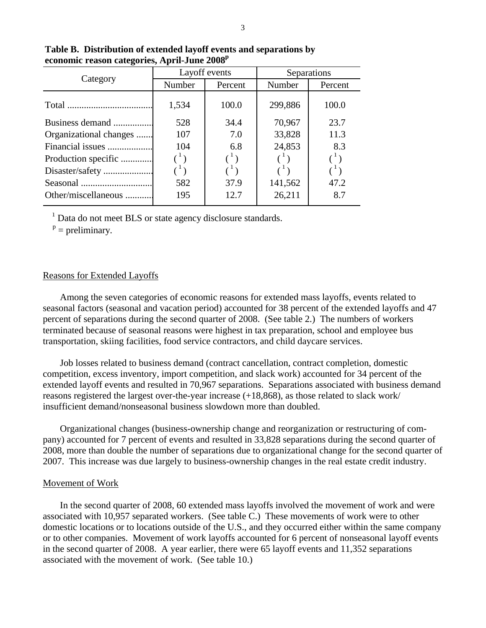|                        |                                                      | Layoff events                                        | Separations |         |  |  |
|------------------------|------------------------------------------------------|------------------------------------------------------|-------------|---------|--|--|
| Category               | Number                                               | Percent                                              | Number      | Percent |  |  |
|                        | 1,534                                                | 100.0                                                | 299,886     | 100.0   |  |  |
| Business demand        | 528                                                  | 34.4                                                 | 70,967      | 23.7    |  |  |
| Organizational changes | 107                                                  | 7.0                                                  | 33,828      | 11.3    |  |  |
| Financial issues       | 104                                                  | 6.8                                                  | 24,853      | 8.3     |  |  |
| Production specific    | $\left( \begin{array}{c} 1 \\ 1 \end{array} \right)$ | $\left( \begin{array}{c} 1 \\ 1 \end{array} \right)$ |             |         |  |  |
|                        |                                                      | $\left( \begin{array}{c} 1 \\ 1 \end{array} \right)$ |             |         |  |  |
|                        | 582                                                  | 37.9                                                 | 141,562     | 47.2    |  |  |
| Other/miscellaneous    | 195                                                  | 12.7                                                 | 26,211      | 8.7     |  |  |

**Table B. Distribution of extended layoff events and separations by**  economic reason categories, April-June 2008<sup>p</sup>

<sup>1</sup> Data do not meet BLS or state agency disclosure standards.

 $P =$  preliminary.

# Reasons for Extended Layoffs

Among the seven categories of economic reasons for extended mass layoffs, events related to seasonal factors (seasonal and vacation period) accounted for 38 percent of the extended layoffs and 47 percent of separations during the second quarter of 2008. (See table 2.) The numbers of workers terminated because of seasonal reasons were highest in tax preparation, school and employee bus transportation, skiing facilities, food service contractors, and child daycare services.

Job losses related to business demand (contract cancellation, contract completion, domestic competition, excess inventory, import competition, and slack work) accounted for 34 percent of the extended layoff events and resulted in 70,967 separations. Separations associated with business demand reasons registered the largest over-the-year increase (+18,868), as those related to slack work/ insufficient demand/nonseasonal business slowdown more than doubled.

Organizational changes (business-ownership change and reorganization or restructuring of company) accounted for 7 percent of events and resulted in 33,828 separations during the second quarter of 2008, more than double the number of separations due to organizational change for the second quarter of 2007. This increase was due largely to business-ownership changes in the real estate credit industry.

## Movement of Work

In the second quarter of 2008, 60 extended mass layoffs involved the movement of work and were associated with 10,957 separated workers. (See table C.) These movements of work were to other domestic locations or to locations outside of the U.S., and they occurred either within the same company or to other companies. Movement of work layoffs accounted for 6 percent of nonseasonal layoff events in the second quarter of 2008. A year earlier, there were 65 layoff events and 11,352 separations associated with the movement of work. (See table 10.)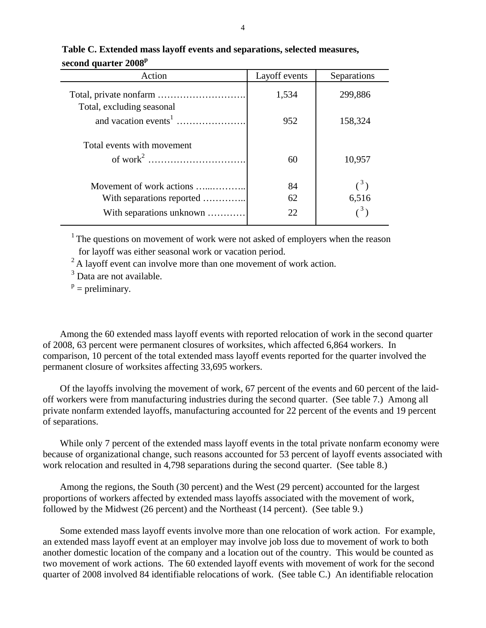| Action                     | Layoff events | Separations                  |
|----------------------------|---------------|------------------------------|
|                            | 1,534         | 299,886                      |
| Total, excluding seasonal  | 952           | 158,324                      |
| Total events with movement | 60            | 10,957                       |
| Movement of work actions   | 84            | $\left( \frac{3}{2} \right)$ |
| With separations reported  | 62            | 6,516                        |
| With separations unknown   | 22            |                              |

# **Table C. Extended mass layoff events and separations, selected measures, second quarter 2008<sup>p</sup>**

<sup>1</sup> The questions on movement of work were not asked of employers when the reason for layoff was either seasonal work or vacation period.<br><sup>2</sup> A lavoff event can involve more than one movement of work action.

 $3$  Data are not available.

 $P =$  preliminary.

Among the 60 extended mass layoff events with reported relocation of work in the second quarter of 2008, 63 percent were permanent closures of worksites, which affected 6,864 workers. In comparison, 10 percent of the total extended mass layoff events reported for the quarter involved the permanent closure of worksites affecting 33,695 workers.

Of the layoffs involving the movement of work, 67 percent of the events and 60 percent of the laidoff workers were from manufacturing industries during the second quarter. (See table 7.) Among all private nonfarm extended layoffs, manufacturing accounted for 22 percent of the events and 19 percent of separations.

While only 7 percent of the extended mass layoff events in the total private nonfarm economy were because of organizational change, such reasons accounted for 53 percent of layoff events associated with work relocation and resulted in 4,798 separations during the second quarter. (See table 8.)

Among the regions, the South (30 percent) and the West (29 percent) accounted for the largest proportions of workers affected by extended mass layoffs associated with the movement of work, followed by the Midwest (26 percent) and the Northeast (14 percent). (See table 9.)

Some extended mass layoff events involve more than one relocation of work action. For example, an extended mass layoff event at an employer may involve job loss due to movement of work to both another domestic location of the company and a location out of the country. This would be counted as two movement of work actions. The 60 extended layoff events with movement of work for the second quarter of 2008 involved 84 identifiable relocations of work. (See table C.) An identifiable relocation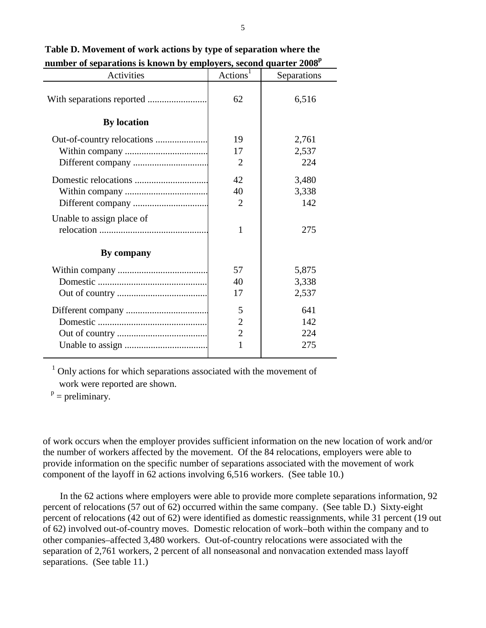| Activities                | Actions <sup>1</sup> | Separations |
|---------------------------|----------------------|-------------|
| <b>By location</b>        | 62                   | 6,516       |
|                           |                      |             |
|                           | 19                   | 2,761       |
|                           | 17                   | 2,537       |
|                           | $\overline{2}$       | 224         |
|                           | 42                   | 3,480       |
|                           | 40                   | 3,338       |
|                           | $\overline{2}$       | 142         |
| Unable to assign place of | $\mathbf{1}$         | 275         |
| By company                |                      |             |
|                           | 57                   | 5,875       |
|                           | 40                   | 3,338       |
|                           | 17                   | 2,537       |
|                           | 5                    | 641         |
|                           | $\overline{2}$       | 142         |
|                           | $\overline{2}$       | 224         |
|                           | $\mathbf{1}$         | 275         |

**Table D. Movement of work actions by type of separation where the** number of separations is known by employers, second quarter 2008<sup>p</sup>

 $1$  Only actions for which separations associated with the movement of work were reported are shown.

 $P =$  preliminary.

of work occurs when the employer provides sufficient information on the new location of work and/or the number of workers affected by the movement. Of the 84 relocations, employers were able to provide information on the specific number of separations associated with the movement of work component of the layoff in 62 actions involving 6,516 workers. (See table 10.)

In the 62 actions where employers were able to provide more complete separations information, 92 percent of relocations (57 out of 62) occurred within the same company. (See table D.) Sixty-eight percent of relocations (42 out of 62) were identified as domestic reassignments, while 31 percent (19 out of 62) involved out-of-country moves. Domestic relocation of work–both within the company and to other companies–affected 3,480 workers. Out-of-country relocations were associated with the separation of 2,761 workers, 2 percent of all nonseasonal and nonvacation extended mass layoff separations. (See table 11.)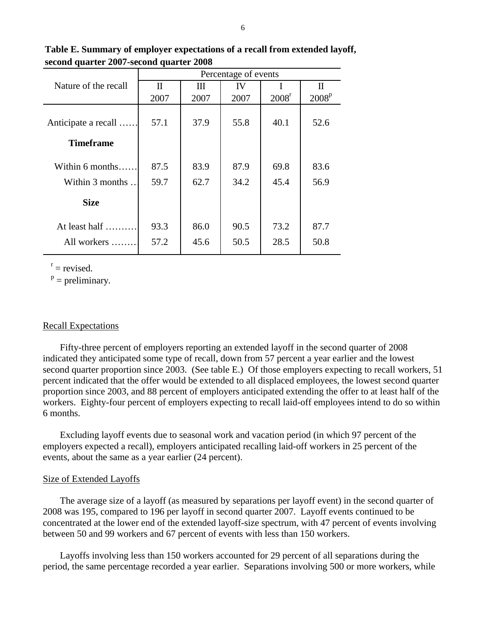**Table E. Summary of employer expectations of a recall from extended layoff, second quarter 2007-second quarter 2008**

|                      | Percentage of events |              |      |                   |                   |  |  |  |  |
|----------------------|----------------------|--------------|------|-------------------|-------------------|--|--|--|--|
| Nature of the recall | $\mathbf{I}$         | $\mathbf{I}$ | IV   |                   | $\mathbf H$       |  |  |  |  |
|                      | 2007                 | 2007         | 2007 | 2008 <sup>r</sup> | 2008 <sup>p</sup> |  |  |  |  |
| Anticipate a recall  | 57.1                 | 37.9         | 55.8 | 40.1              | 52.6              |  |  |  |  |
| <b>Timeframe</b>     |                      |              |      |                   |                   |  |  |  |  |
| Within $6$ months    | 87.5                 | 83.9         | 87.9 | 69.8              | 83.6              |  |  |  |  |
| Within 3 months      | 59.7                 | 62.7         | 34.2 | 45.4              | 56.9              |  |  |  |  |
| <b>Size</b>          |                      |              |      |                   |                   |  |  |  |  |
| At least half.       | 93.3                 | 86.0         | 90.5 | 73.2              | 87.7              |  |  |  |  |
| All workers          | 57.2                 | 45.6         | 50.5 | 28.5              | 50.8              |  |  |  |  |

 $r =$  revised.

 $P =$  preliminary.

## Recall Expectations

Fifty-three percent of employers reporting an extended layoff in the second quarter of 2008 indicated they anticipated some type of recall, down from 57 percent a year earlier and the lowest second quarter proportion since 2003. (See table E.) Of those employers expecting to recall workers, 51 percent indicated that the offer would be extended to all displaced employees, the lowest second quarter proportion since 2003, and 88 percent of employers anticipated extending the offer to at least half of the workers. Eighty-four percent of employers expecting to recall laid-off employees intend to do so within 6 months.

Excluding layoff events due to seasonal work and vacation period (in which 97 percent of the employers expected a recall), employers anticipated recalling laid-off workers in 25 percent of the events, about the same as a year earlier (24 percent).

## Size of Extended Layoffs

The average size of a layoff (as measured by separations per layoff event) in the second quarter of 2008 was 195, compared to 196 per layoff in second quarter 2007. Layoff events continued to be concentrated at the lower end of the extended layoff-size spectrum, with 47 percent of events involving between 50 and 99 workers and 67 percent of events with less than 150 workers.

Layoffs involving less than 150 workers accounted for 29 percent of all separations during the period, the same percentage recorded a year earlier. Separations involving 500 or more workers, while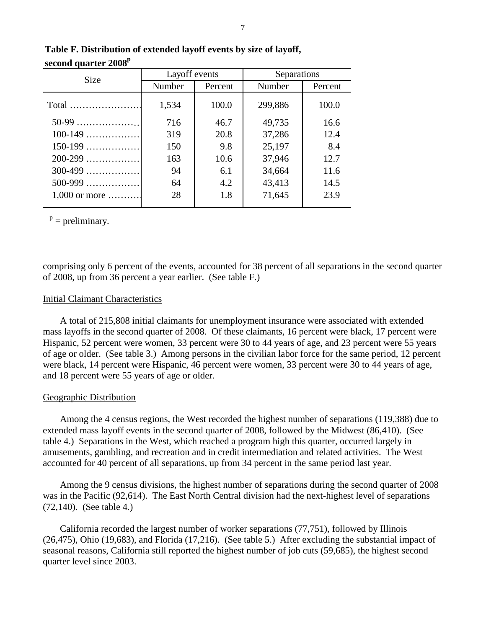| <b>Size</b>     | Layoff events |         | Separations                                                                                        |       |  |  |
|-----------------|---------------|---------|----------------------------------------------------------------------------------------------------|-------|--|--|
|                 | Number        | Percent | Number<br>Percent<br>299,886<br>49,735<br>37,286<br>25,197<br>37,946<br>34,664<br>43,413<br>71,645 |       |  |  |
|                 | 1,534         | 100.0   |                                                                                                    | 100.0 |  |  |
| $50-99$         | 716           | 46.7    |                                                                                                    | 16.6  |  |  |
| $100-149$       | 319           | 20.8    |                                                                                                    | 12.4  |  |  |
| $150-199$       | 150           | 9.8     |                                                                                                    | 8.4   |  |  |
| $200 - 299$     | 163           | 10.6    |                                                                                                    | 12.7  |  |  |
| $300-499$       | 94            | 6.1     |                                                                                                    | 11.6  |  |  |
| $500-999$       | 64            | 4.2     |                                                                                                    | 14.5  |  |  |
| $1,000$ or more | 28            | 1.8     |                                                                                                    | 23.9  |  |  |

# **Table F. Distribution of extended layoff events by size of layoff, second quarter 2008p**

 $p =$  preliminary.

comprising only 6 percent of the events, accounted for 38 percent of all separations in the second quarter of 2008, up from 36 percent a year earlier. (See table F.)

# Initial Claimant Characteristics

A total of 215,808 initial claimants for unemployment insurance were associated with extended mass layoffs in the second quarter of 2008. Of these claimants, 16 percent were black, 17 percent were Hispanic, 52 percent were women, 33 percent were 30 to 44 years of age, and 23 percent were 55 years of age or older. (See table 3.) Among persons in the civilian labor force for the same period, 12 percent were black, 14 percent were Hispanic, 46 percent were women, 33 percent were 30 to 44 years of age, and 18 percent were 55 years of age or older.

# Geographic Distribution

Among the 4 census regions, the West recorded the highest number of separations (119,388) due to extended mass layoff events in the second quarter of 2008, followed by the Midwest (86,410). (See table 4.) Separations in the West, which reached a program high this quarter, occurred largely in amusements, gambling, and recreation and in credit intermediation and related activities. The West accounted for 40 percent of all separations, up from 34 percent in the same period last year.

Among the 9 census divisions, the highest number of separations during the second quarter of 2008 was in the Pacific (92,614). The East North Central division had the next-highest level of separations (72,140). (See table 4.)

California recorded the largest number of worker separations (77,751), followed by Illinois (26,475), Ohio (19,683), and Florida (17,216). (See table 5.) After excluding the substantial impact of seasonal reasons, California still reported the highest number of job cuts (59,685), the highest second quarter level since 2003.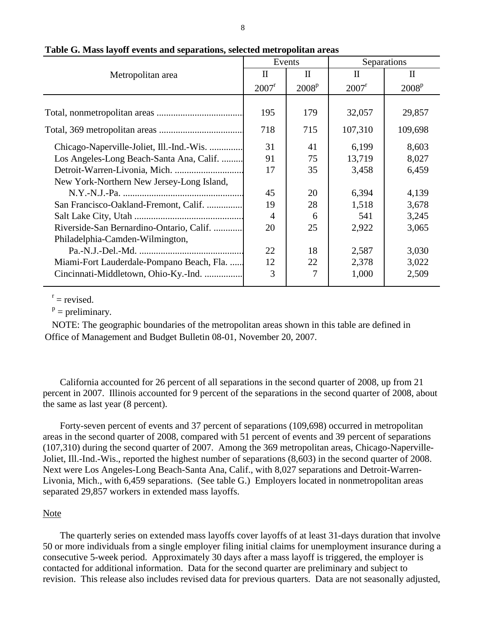|                                           |                                 | Events            | Separations       |              |  |  |
|-------------------------------------------|---------------------------------|-------------------|-------------------|--------------|--|--|
| Metropolitan area                         | $\mathop{\mathrm{II}}\nolimits$ | $\mathbf{I}$      | П                 | $\mathbf{I}$ |  |  |
|                                           | 2007 <sup>r</sup>               | 2008 <sup>p</sup> | 2007 <sup>r</sup> | $2008^{p}$   |  |  |
|                                           |                                 |                   |                   |              |  |  |
|                                           | 195                             | 179               | 32,057            | 29,857       |  |  |
|                                           | 718                             | 715               | 107,310           | 109,698      |  |  |
| Chicago-Naperville-Joliet, Ill.-Ind.-Wis. | 31                              | 41                | 6,199             | 8,603        |  |  |
| Los Angeles-Long Beach-Santa Ana, Calif.  | 91                              | 75                | 13,719            | 8,027        |  |  |
|                                           | 17                              | 35                | 3,458             | 6,459        |  |  |
| New York-Northern New Jersey-Long Island, |                                 |                   |                   |              |  |  |
|                                           | 45                              | 20                | 6,394             | 4,139        |  |  |
| San Francisco-Oakland-Fremont, Calif.     | 19                              | 28                | 1,518             | 3,678        |  |  |
|                                           | $\overline{4}$                  | 6                 | 541               | 3,245        |  |  |
| Riverside-San Bernardino-Ontario, Calif.  | 20                              | 25                | 2,922             | 3,065        |  |  |
| Philadelphia-Camden-Wilmington,           |                                 |                   |                   |              |  |  |
|                                           | 22                              | 18                | 2,587             | 3,030        |  |  |
| Miami-Fort Lauderdale-Pompano Beach, Fla. | 12                              | 22                | 2,378             | 3,022        |  |  |
| Cincinnati-Middletown, Ohio-Ky.-Ind.      | 3                               | 7                 | 1,000             | 2,509        |  |  |

**Table G. Mass layoff events and separations, selected metropolitan areas**

 $r =$  revised.

 $p =$  preliminary.

 NOTE: The geographic boundaries of the metropolitan areas shown in this table are defined in Office of Management and Budget Bulletin 08-01, November 20, 2007.

California accounted for 26 percent of all separations in the second quarter of 2008, up from 21 percent in 2007. Illinois accounted for 9 percent of the separations in the second quarter of 2008, about the same as last year (8 percent).

Forty-seven percent of events and 37 percent of separations (109,698) occurred in metropolitan areas in the second quarter of 2008, compared with 51 percent of events and 39 percent of separations (107,310) during the second quarter of 2007. Among the 369 metropolitan areas, Chicago-Naperville-Joliet, Ill.-Ind.-Wis., reported the highest number of separations (8,603) in the second quarter of 2008. Next were Los Angeles-Long Beach-Santa Ana, Calif., with 8,027 separations and Detroit-Warren-Livonia, Mich., with 6,459 separations. (See table G.) Employers located in nonmetropolitan areas separated 29,857 workers in extended mass layoffs.

# Note

The quarterly series on extended mass layoffs cover layoffs of at least 31-days duration that involve 50 or more individuals from a single employer filing initial claims for unemployment insurance during a consecutive 5-week period. Approximately 30 days after a mass layoff is triggered, the employer is contacted for additional information. Data for the second quarter are preliminary and subject to revision. This release also includes revised data for previous quarters. Data are not seasonally adjusted,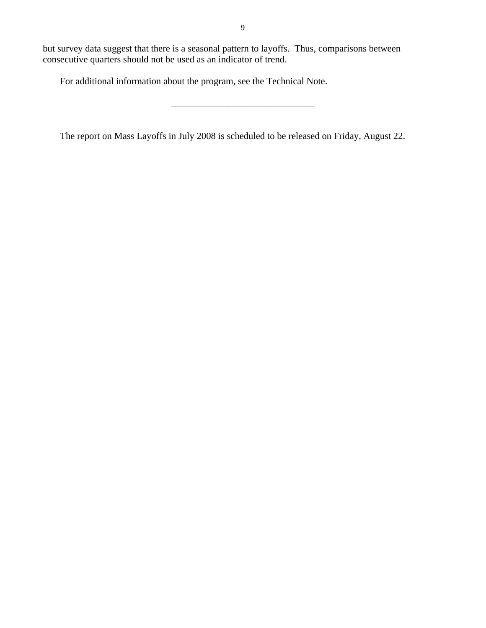\_\_\_\_\_\_\_\_\_\_\_\_\_\_\_\_\_\_\_\_\_\_\_\_\_\_\_\_\_\_

but survey data suggest that there is a seasonal pattern to layoffs. Thus, comparisons between consecutive quarters should not be used as an indicator of trend.

For additional information about the program, see the Technical Note.

The report on Mass Layoffs in July 2008 is scheduled to be released on Friday, August 22.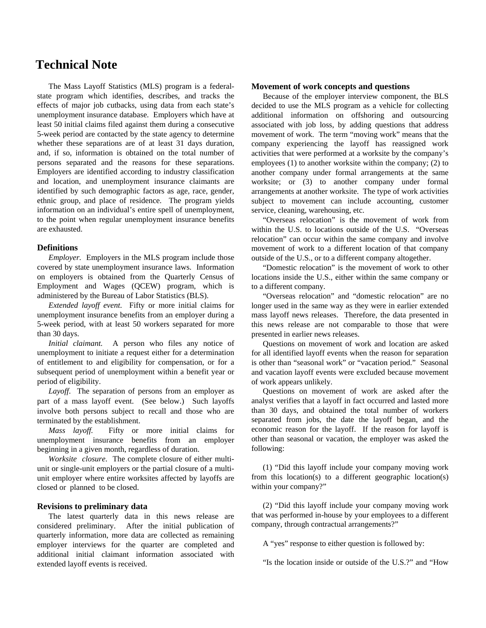# **Technical Note**

The Mass Layoff Statistics (MLS) program is a federalstate program which identifies, describes, and tracks the effects of major job cutbacks, using data from each state's unemployment insurance database. Employers which have at least 50 initial claims filed against them during a consecutive 5-week period are contacted by the state agency to determine whether these separations are of at least 31 days duration, and, if so, information is obtained on the total number of persons separated and the reasons for these separations. Employers are identified according to industry classification and location, and unemployment insurance claimants are identified by such demographic factors as age, race, gender, ethnic group, and place of residence. The program yields information on an individual's entire spell of unemployment, to the point when regular unemployment insurance benefits are exhausted.

#### **Definitions**

*Employer.* Employers in the MLS program include those covered by state unemployment insurance laws. Information on employers is obtained from the Quarterly Census of Employment and Wages (QCEW) program, which is administered by the Bureau of Labor Statistics (BLS).

*Extended layoff event*. Fifty or more initial claims for unemployment insurance benefits from an employer during a 5-week period, with at least 50 workers separated for more than 30 days.

*Initial claimant.* A person who files any notice of unemployment to initiate a request either for a determination of entitlement to and eligibility for compensation, or for a subsequent period of unemployment within a benefit year or period of eligibility.

*Layoff*. The separation of persons from an employer as part of a mass layoff event. (See below.) Such layoffs involve both persons subject to recall and those who are terminated by the establishment.

*Mass layoff.* Fifty or more initial claims for unemployment insurance benefits from an employer beginning in a given month, regardless of duration.

*Worksite closure*. The complete closure of either multiunit or single-unit employers or the partial closure of a multiunit employer where entire worksites affected by layoffs are closed or planned to be closed.

#### **Revisions to preliminary data**

The latest quarterly data in this news release are considered preliminary. After the initial publication of quarterly information, more data are collected as remaining employer interviews for the quarter are completed and additional initial claimant information associated with extended layoff events is received.

#### **Movement of work concepts and questions**

Because of the employer interview component, the BLS decided to use the MLS program as a vehicle for collecting additional information on offshoring and outsourcing associated with job loss, by adding questions that address movement of work. The term "moving work" means that the company experiencing the layoff has reassigned work activities that were performed at a worksite by the company's employees (1) to another worksite within the company; (2) to another company under formal arrangements at the same worksite; or (3) to another company under formal arrangements at another worksite. The type of work activities subject to movement can include accounting, customer service, cleaning, warehousing, etc.

"Overseas relocation" is the movement of work from within the U.S. to locations outside of the U.S. "Overseas relocation" can occur within the same company and involve movement of work to a different location of that company outside of the U.S., or to a different company altogether.

"Domestic relocation" is the movement of work to other locations inside the U.S., either within the same company or to a different company.

"Overseas relocation" and "domestic relocation" are no longer used in the same way as they were in earlier extended mass layoff news releases. Therefore, the data presented in this news release are not comparable to those that were presented in earlier news releases.

Questions on movement of work and location are asked for all identified layoff events when the reason for separation is other than "seasonal work" or "vacation period." Seasonal and vacation layoff events were excluded because movement of work appears unlikely.

Questions on movement of work are asked after the analyst verifies that a layoff in fact occurred and lasted more than 30 days, and obtained the total number of workers separated from jobs, the date the layoff began, and the economic reason for the layoff. If the reason for layoff is other than seasonal or vacation, the employer was asked the following:

(1) "Did this layoff include your company moving work from this location(s) to a different geographic location(s) within your company?"

(2) "Did this layoff include your company moving work that was performed in-house by your employees to a different company, through contractual arrangements?"

A "yes" response to either question is followed by:

"Is the location inside or outside of the U.S.?" and "How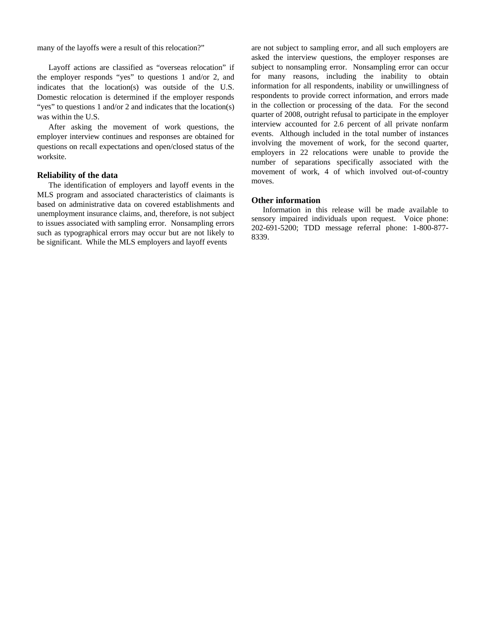many of the layoffs were a result of this relocation?"

Layoff actions are classified as "overseas relocation" if the employer responds "yes" to questions 1 and/or 2, and indicates that the location(s) was outside of the U.S. Domestic relocation is determined if the employer responds "yes" to questions 1 and/or 2 and indicates that the location(s) was within the U.S.

After asking the movement of work questions, the employer interview continues and responses are obtained for questions on recall expectations and open/closed status of the worksite.

#### **Reliability of the data**

The identification of employers and layoff events in the MLS program and associated characteristics of claimants is based on administrative data on covered establishments and unemployment insurance claims, and, therefore, is not subject to issues associated with sampling error. Nonsampling errors such as typographical errors may occur but are not likely to be significant. While the MLS employers and layoff events

are not subject to sampling error, and all such employers are asked the interview questions, the employer responses are subject to nonsampling error. Nonsampling error can occur for many reasons, including the inability to obtain information for all respondents, inability or unwillingness of respondents to provide correct information, and errors made in the collection or processing of the data. For the second quarter of 2008, outright refusal to participate in the employer interview accounted for 2.6 percent of all private nonfarm events. Although included in the total number of instances involving the movement of work, for the second quarter, employers in 22 relocations were unable to provide the number of separations specifically associated with the movement of work, 4 of which involved out-of-country moves.

#### **Other information**

Information in this release will be made available to sensory impaired individuals upon request. Voice phone: 202-691-5200; TDD message referral phone: 1-800-877- 8339.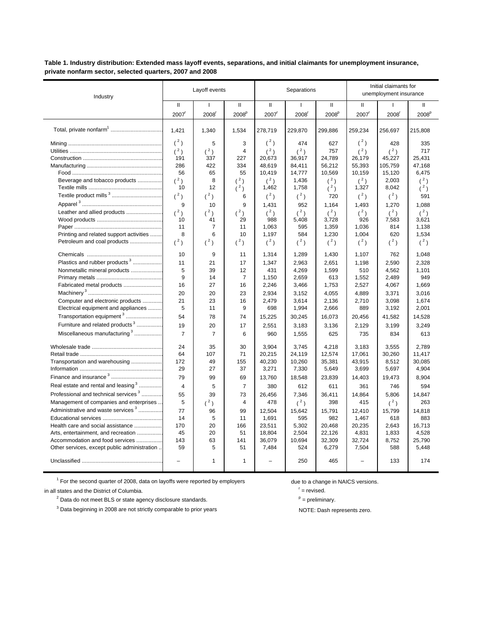**Table 1. Industry distribution: Extended mass layoff events, separations, and initial claimants for unemployment insurance, private nonfarm sector, selected quarters, 2007 and 2008**

| Industry                                         |                   | Layoff events     |                   |                   | Separations       |                   |              | Initial claimants for<br>unemployment insurance |                   |
|--------------------------------------------------|-------------------|-------------------|-------------------|-------------------|-------------------|-------------------|--------------|-------------------------------------------------|-------------------|
|                                                  | $\mathsf{I}$      | T                 | $\mathsf{I}$      | $\mathbf{II}$     | $\mathbf{I}$      | Ш                 | $\mathbf{H}$ | $\mathbf{I}$                                    | $\mathbf{H}$      |
|                                                  | 2007 <sup>r</sup> | 2008 <sup>r</sup> | 2008 <sup>p</sup> | 2007 <sup>r</sup> | 2008 <sup>r</sup> | 2008 <sup>p</sup> | 2007         | 2008                                            | 2008 <sup>p</sup> |
|                                                  | 1,421             | 1,340             | 1,534             | 278,719           | 229,870           | 299,886           | 259,234      | 256,697                                         | 215,808           |
|                                                  | $(^{2})$          | 5                 | 3                 | $(^2)$            | 474               | 627               | $(^2)$       | 428                                             | 335               |
|                                                  | (2)               | $(^2)$            | 4                 | $(^2)$            | $(^2)$            | 757               | (2)          | $\binom{2}{ }$                                  | 717               |
|                                                  | 191               | 337               | 227               | 20,673            | 36,917            | 24,789            | 26,179       | 45,227                                          | 25.431            |
|                                                  | 286               | 422               | 334               | 48,619            | 84,411            | 56,212            | 55,393       | 105,759                                         | 47,168            |
|                                                  | 56                | 65                | 55                | 10,419            | 14,777            | 10,569            | 10,159       | 15,120                                          | 6,475             |
| Beverage and tobacco products                    | $(^2)$            | 8                 | $(^2)$            | $(^2)$            | 1,436             | $(^2)$            | $(^2)$       | 2,003                                           | $(^2)$            |
|                                                  | 10                | 12                | (2)               | 1,462             | 1,758             | $({}^{2})$        | 1,327        | 8,042                                           | $(^2)$            |
| Textile product mills <sup>3</sup>               | $(^{2})$          | $(^2)$            | 6                 | $(^2)$            | $(^2)$            | 720               | $(^2)$       | $(^{2})$                                        | 591               |
|                                                  | 9                 | 10                | 9                 | 1,431             | 952               | 1,164             | 1,493        | 1,270                                           | 1,088             |
| Leather and allied products                      | (2)               | $(^2)$            | (2)               | $(^2)$            | $(^2)$            | $(^2)$            | (2)          | (2)                                             | $(^2)$            |
|                                                  | 10                | 41                | 29                | 988               | 5,408             | 3,728             | 926          | 7,583                                           | 3,621             |
|                                                  | 11                | 7                 | 11                | 1,063             | 595               | 1,359             | 1,036        | 814                                             | 1,138             |
| Printing and related support activities          | 8                 | 6                 | 10                | 1,197             | 584               | 1,230             | 1,004        | 620                                             | 1,534             |
| Petroleum and coal products                      | $(^2)$            | $({}^{2})$        | $(^2)$            | $({}^{2})$        | $(^2)$            | $({}^{2})$        | $({}^{2})$   | $(^2)$                                          | $(^2)$            |
|                                                  | 10                | 9                 | 11                | 1,314             | 1,289             | 1,430             | 1,107        | 762                                             | 1,048             |
| Plastics and rubber products <sup>3</sup>        | 11                | 21                | 17                | 1,347             | 2,963             | 2,651             | 1,198        | 2,590                                           | 2,328             |
| Nonmetallic mineral products                     | 5                 | 39                | 12                | 431               | 4,269             | 1,599             | 510          | 4,562                                           | 1,101             |
|                                                  | 9                 | 14                | $\overline{7}$    | 1,150             | 2,659             | 613               | 1,552        | 2,489                                           | 949               |
| Fabricated metal products                        | 16                | 27                | 16                | 2,246             | 3,466             | 1,753             | 2,527        | 4,067                                           | 1,669             |
|                                                  | 20                | 20                | 23                | 2.934             | 3,152             | 4,055             | 4,889        | 3.371                                           | 3,016             |
| Computer and electronic products                 | 21                | 23                | 16                | 2,479             | 3,614             | 2,136             | 2,710        | 3,098                                           | 1,674             |
| Electrical equipment and appliances              | 5                 | 11                | 9                 | 698               | 1,994             | 2,666             | 889          | 3,192                                           | 2,001             |
| Transportation equipment <sup>3</sup>            | 54                | 78                | 74                | 15,225            | 30,245            | 16,073            | 20,456       | 41,582                                          | 14,528            |
| Furniture and related products <sup>3</sup>      | 19                | 20                | 17                | 2,551             | 3,183             | 3,136             | 2,129        | 3,199                                           | 3,249             |
| Miscellaneous manufacturing <sup>3</sup>         | $\overline{7}$    | $\overline{7}$    | 6                 | 960               | 1,555             | 625               | 735          | 834                                             | 613               |
|                                                  | 24                | 35                | 30                | 3,904             | 3,745             | 4,218             | 3,183        | 3,555                                           | 2,789             |
|                                                  | 64                | 107               | 71                | 20,215            | 24,119            | 12,574            | 17,061       | 30,260                                          | 11,417            |
| Transportation and warehousing                   | 172               | 49                | 155               | 40,230            | 10.260            | 35,381            | 43.915       | 8.512                                           | 30.085            |
|                                                  | 29                | 27                | 37                | 3,271             | 7,330             | 5,649             | 3,699        | 5,697                                           | 4,904             |
| Finance and insurance <sup>3</sup>               | 79                | 99                | 69                | 13,760            | 18,548            | 23,839            | 14,403       | 19,473                                          | 8,904             |
| Real estate and rental and leasing <sup>3</sup>  | $\overline{4}$    | 5                 | $\overline{7}$    | 380               | 612               | 611               | 361          | 746                                             | 594               |
| Professional and technical services <sup>3</sup> | 55                | 39                | 73                | 26,456            | 7,346             | 36,411            | 14,864       | 5,806                                           | 14,847            |
| Management of companies and enterprises.         | 5                 | $(^{2})$          | 4                 | 478               | $(^2)$            | 398               | 415          | $(^{2})$                                        | 263               |
| Administrative and waste services <sup>3</sup>   | 77                | 96                | 99                | 12,504            | 15,642            | 15,791            | 12,410       | 15,799                                          | 14,818            |
|                                                  | 14                | 5                 | 11                | 1,691             | 595               | 982               | 1,467        | 618                                             | 883               |
| Health care and social assistance                | 170               | 20                | 166               | 23,511            | 5,302             | 20,468            | 20,235       | 2,643                                           | 16,713            |
| Arts, entertainment, and recreation              | 45                | 20                | 51                | 18,804            | 2,504             | 22,126            | 4,831        | 1,833                                           | 4,528             |
| Accommodation and food services                  | 143               | 63                | 141               | 36,079            | 10,694            | 32,309            | 32,724       | 8,752                                           | 25,790            |
| Other services, except public administration.    | 59                | 5                 | 51                | 7,484             | 524               | 6,279             | 7,504        | 588                                             | 5,448             |
|                                                  | $\overline{a}$    | $\mathbf{1}$      | $\mathbf{1}$      |                   | 250               | 465               |              | 133                                             | 174               |

<sup>1</sup> For the second quarter of 2008, data on layoffs were reported by employers due to a change in NAICS versions.

in all states and the District of Columbia.

 $2^2$  Data do not meet BLS or state agency disclosure standards.

<sup>3</sup> Data beginning in 2008 are not strictly comparable to prior years NOTE: Dash represents zero.

 $r =$  revised.

 $P =$  preliminary.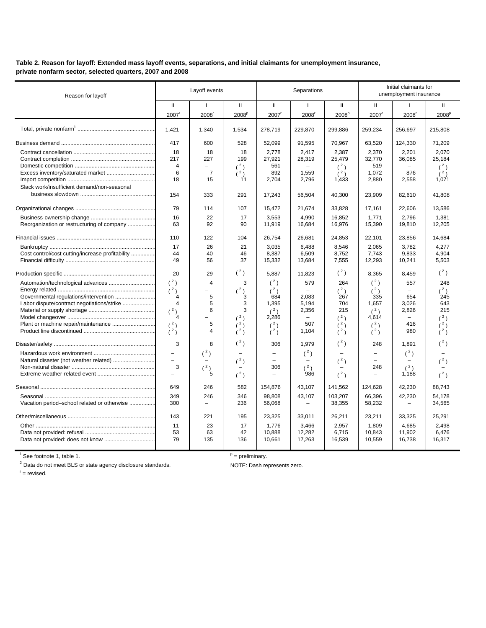**Table 2. Reason for layoff: Extended mass layoff events, separations, and initial claimants for unemployment insurance, private nonfarm sector, selected quarters, 2007 and 2008**

| Reason for layoff                                |                          | Layoff events                   |                   |                  | Separations              |                   |                  | Initial claimants for<br>unemployment insurance |                   |
|--------------------------------------------------|--------------------------|---------------------------------|-------------------|------------------|--------------------------|-------------------|------------------|-------------------------------------------------|-------------------|
|                                                  | $\mathbf{H}$             | ı                               | $\mathbf{H}$      | $\mathbf{I}$     | ı                        | $\mathbf{H}$      | $\mathbf{H}$     | $\mathbf{I}$                                    | Ш                 |
|                                                  | 2007                     | 2008                            | 2008 <sup>p</sup> | 2007             | 2008                     | 2008 <sup>p</sup> | 2007             | $2008$ <sup>r</sup>                             | 2008 <sup>p</sup> |
|                                                  | 1.421                    | 1,340                           | 1,534             | 278,719          | 229,870                  | 299,886           | 259,234          | 256,697                                         | 215,808           |
|                                                  | 417                      | 600                             | 528               | 52,099           | 91,595                   | 70,967            | 63,520           | 124,330                                         | 71,209            |
|                                                  | 18                       | 18                              | 18                | 2,778            | 2,417                    | 2,387             | 2,370            | 2,201                                           | 2,070             |
|                                                  | 217                      | 227                             | 199               | 27,921           | 28,319                   | 25,479            | 32.770           | 36,085                                          | 25.184            |
|                                                  | $\overline{4}$           | $\overline{\phantom{a}}$        | $(^2)$            | 561              |                          | (2)               | 519              |                                                 | (2)               |
|                                                  | 6                        | $\overline{7}$                  | (2)               | 892              | 1,559                    | (2)               | 1,072            | 876                                             | (2)               |
|                                                  | 18                       | 15                              | 11                | 2,704            | 2,796                    | 1,433             | 2,880            | 2,558                                           | 1,071             |
| Slack work/insufficient demand/non-seasonal      |                          |                                 |                   |                  |                          |                   |                  |                                                 |                   |
|                                                  | 154                      | 333                             | 291               | 17,243           | 56,504                   | 40,300            | 23,909           | 82,610                                          | 41,808            |
|                                                  | 79                       | 114                             | 107               | 15,472           | 21,674                   | 33,828            | 17,161           | 22,606                                          | 13,586            |
|                                                  | 16                       | 22                              | 17                | 3,553            | 4,990                    | 16,852            | 1,771            | 2,796                                           | 1,381             |
| Reorganization or restructuring of company       | 63                       | 92                              | 90                | 11,919           | 16,684                   | 16,976            | 15,390           | 19,810                                          | 12,205            |
|                                                  | 110                      | 122                             | 104               | 26,754           | 26,681                   | 24,853            | 22,101           | 23,856                                          | 14,684            |
|                                                  | 17                       | 26                              | 21                | 3.035            | 6.488                    | 8.546             | 2.065            | 3.782                                           | 4.277             |
| Cost control/cost cutting/increase profitability | 44                       | 40                              | 46                | 8.387            | 6.509                    | 8.752             | 7.743            | 9.833                                           | 4.904             |
|                                                  | 49                       | 56                              | 37                | 15,332           | 13,684                   | 7,555             | 12,293           | 10,241                                          | 5,503             |
|                                                  | 20                       | 29                              | $(^2)$            | 5,887            | 11,823                   | $(^2)$            | 8,365            | 8,459                                           | (2)               |
| Automation/technological advances                | $(^2)$                   | $\overline{\mathbf{4}}$         | 3                 | $(^2)$           | 579                      | 264               | $(^2)$           | 557                                             | 248               |
|                                                  | (2)                      |                                 | $\binom{2}{3}$    | (2)              | $\equiv$                 | $(^2)$            | (2)              |                                                 | (2)               |
| Governmental regulations/intervention            | 4                        | 5                               |                   | 684              | 2.083                    | 267               | 335              | 654                                             | 245               |
| Labor dispute/contract negotiations/strike       | $\overline{4}$           | 5                               | 3                 | 1,395            | 5,194                    | 704               | 1,657            | 3,026                                           | 643               |
|                                                  | $(^{2})$                 | 6                               | 3                 | (2)              | 2,356                    | 215               | (2)              | 2,826                                           | 215               |
|                                                  | 4                        |                                 | $(^2)$            | 2,286            | $\overline{\phantom{0}}$ | (2)               | 4,614            | $\equiv$                                        | (2)               |
|                                                  | (2)                      | 5                               | $(^2)$            | $(^2)$           | 507                      | (2)               | (2)              | 416                                             | (2)               |
|                                                  | (2)                      | 4                               | (2)               | (2)              | 1,104                    | (2)               | (2)              | 980                                             | (2)               |
|                                                  | 3                        | 8                               | $(^2)$            | 306              | 1,979                    | $(^2)$            | 248              | 1,891                                           |                   |
|                                                  | $\overline{\phantom{0}}$ | $(^2)$                          |                   | $\equiv$         | $({}^{2})$               |                   | $\equiv$         | $({}^{2})$                                      |                   |
| Natural disaster (not weather related)           | $\overline{\phantom{0}}$ |                                 | $(^2)$            |                  |                          | $(^2)$            |                  |                                                 | (2)               |
|                                                  | 3                        | $(^2)$<br>$\overline{5}$        | $(^2)$            | 306<br>÷         | (2)<br>986               | (2)               | 248<br>L,        | (2)<br>1,188                                    | (2)               |
|                                                  |                          |                                 |                   |                  |                          |                   |                  |                                                 |                   |
|                                                  | 649                      | 246                             | 582               | 154,876          | 43,107                   | 141,562           | 124,628          | 42,230                                          | 88,743            |
| Vacation period-school related or otherwise      | 349<br>300               | 246<br>$\overline{\phantom{m}}$ | 346<br>236        | 98.808<br>56,068 | 43,107                   | 103,207<br>38,355 | 66,396<br>58,232 | 42,230                                          | 54,178<br>34,565  |
|                                                  | 143                      | 221                             | 195               | 23,325           | 33,011                   | 26,211            | 23,211           | 33,325                                          | 25,291            |
|                                                  |                          |                                 |                   |                  |                          |                   |                  |                                                 |                   |
|                                                  | 11<br>53                 | 23<br>63                        | 17<br>42          | 1,776<br>10,888  | 3,466<br>12,282          | 2.957<br>6,715    | 1,809            | 4,685<br>11,902                                 | 2.498<br>6,476    |
|                                                  | 79                       | 135                             | 136               | 10,661           | 17,263                   | 16,539            | 10,843<br>10,559 | 16,738                                          | 16,317            |
|                                                  |                          |                                 |                   |                  |                          |                   |                  |                                                 |                   |

 $1$  See footnote 1, table 1.

 $2$  Data do not meet BLS or state agency disclosure standards. NOTE: Dash represents zero.<br>  $\frac{1}{2}$  = revised.

 $\frac{p}{p}$  = preliminary.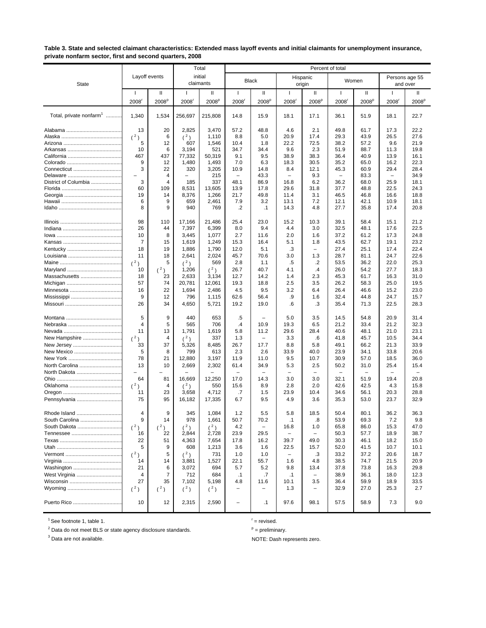#### **Table 3. State and selected claimant characteristics: Extended mass layoff events and initial claimants for unemployment insurance, private nonfarm sector, first and second quarters, 2008**

|                                     |                          |                   |                          | Total                | Percent of total         |                   |                          |                          |                          |                   |                          |                            |
|-------------------------------------|--------------------------|-------------------|--------------------------|----------------------|--------------------------|-------------------|--------------------------|--------------------------|--------------------------|-------------------|--------------------------|----------------------------|
| <b>State</b>                        | Layoff events            |                   |                          | initial<br>claimants |                          | <b>Black</b>      |                          | Hispanic<br>origin       | Women                    |                   |                          | Persons age 55<br>and over |
|                                     | -1                       | Ш                 | $\mathbf{I}$             | Ш                    | $\mathbf{I}$             | $\mathbf{H}$      | $\mathbf{I}$             | Ш                        | -1                       | Ш                 | -1                       | Ш                          |
|                                     | 2008                     | 2008 <sup>p</sup> | 2008                     | 2008 <sup>p</sup>    | 2008 <sup>r</sup>        | 2008 <sup>p</sup> | 2008                     | 2008 <sup>p</sup>        | 2008                     | 2008 <sup>p</sup> | 2008                     | 2008 <sup>p</sup>          |
| Total, private nonfarm <sup>1</sup> | 1,340                    | 1,534             | 256,697                  | 215,808              | 14.8                     | 15.9              | 18.1                     | 17.1                     | 36.1                     | 51.9              | 18.1                     | 22.7                       |
|                                     | 13                       | 20                | 2,825                    | 3,470                | 57.2                     | 48.8              | 4.6                      | 2.1                      | 49.8                     | 61.7              | 17.3                     | 22.2                       |
|                                     | (2)                      | 6                 | $(^2)$                   | 1,110                | 8.8                      | 5.0               | 20.9                     | 17.4                     | 29.3                     | 43.9              | 26.5                     | 27.6                       |
|                                     | 5                        | 12                | 607                      | 1,546                | 10.4                     | 1.8               | 22.2                     | 72.5                     | 38.2                     | 57.2              | 9.6                      | 21.9                       |
|                                     | 10                       | 6                 | 3,194                    | 521                  | 34.7                     | 34.4              | 9.6                      | 2.3                      | 51.9                     | 88.7              | 11.3                     | 19.8                       |
|                                     | 467<br>9                 | 437<br>12         | 77,332<br>1,480          | 50,319<br>1,493      | 9.1<br>7.0               | 9.5<br>6.3        | 38.9<br>18.3             | 38.3<br>30.5             | 36.4<br>35.2             | 40.9<br>65.0      | 13.9<br>16.2             | 16.1<br>22.3               |
| Connecticut                         | 3                        | 22                | 320                      | 3,205                | 10.9                     | 14.8              | 8.4                      | 12.1                     | 45.3                     | 60.9              | 29.4                     | 28.4                       |
|                                     | $\overline{\phantom{0}}$ | $\overline{4}$    | $\overline{\phantom{0}}$ | 215                  | $\overline{\phantom{0}}$ | 43.3              | $\overline{\phantom{0}}$ | 9.3                      | $\overline{\phantom{0}}$ | 83.3              | $\overline{\phantom{0}}$ | 34.9                       |
| District of Columbia                | 3                        | $\overline{4}$    | 185                      | 337                  | 48.1                     | 86.9              | 16.8                     | 6.2                      | 36.2                     | 68.0              | 25.9                     | 18.1                       |
|                                     | 60                       | 109               | 8,531                    | 13,605               | 13.9                     | 17.8              | 29.6                     | 31.8                     | 37.7                     | 48.8              | 22.5                     | 24.3                       |
|                                     | 19                       | 14                | 8,376                    | 1,266                | 21.7                     | 49.8              | 11.4                     | 3.1                      | 46.5                     | 46.8              | 16.6                     | 18.8                       |
|                                     | 6<br>8                   | 9<br>9            | 659<br>940               | 2,461<br>769         | 7.9<br>.2                | 3.2<br>$\cdot$ 1  | 13.1<br>14.3             | 7.2<br>4.8               | 12.1<br>27.7             | 42.1<br>35.8      | 10.9<br>17.4             | 18.1<br>20.8               |
|                                     |                          |                   |                          |                      |                          |                   |                          |                          |                          |                   |                          |                            |
|                                     | 98                       | 110               | 17,166                   | 21.486               | 25.4                     | 23.0              | 15.2                     | 10.3                     | 39.1                     | 58.4              | 15.1                     | 21.2                       |
|                                     | 26                       | 44                | 7,397                    | 6,399                | 8.0                      | 9.4               | 4.4                      | 3.0                      | 32.5                     | 48.1              | 17.6                     | 22.5                       |
|                                     | 10                       | 8                 | 3,445                    | 1,077                | 2.7                      | 11.6              | 2.0                      | 1.6                      | 37.2                     | 61.2              | 17.3                     | 24.8                       |
|                                     | 7                        | 15                | 1,619                    | 1,249                | 15.3                     | 16.4              | 5.1                      | 1.8                      | 43.5                     | 62.7              | 19.1                     | 23.2                       |
|                                     | 18                       | 19                | 1,886                    | 1,790                | 12.0                     | 5.1               | .3                       | $\overline{\phantom{0}}$ | 27.4                     | 25.1              | 17.4                     | 22.4                       |
|                                     | 11<br>(2)                | 18<br>5           | 2,641<br>(2)             | 2,024<br>569         | 45.7<br>2.8              | 70.6<br>1.1       | 3.0<br>.5                | 1.3<br>$\cdot$ .2        | 28.7<br>53.5             | 81.1<br>36.2      | 24.7<br>22.0             | 22.6<br>25.3               |
|                                     | 10                       | (2)               | 1,206                    | $(^{2})$             | 26.7                     | 40.7              | 4.1                      | .4                       | 26.0                     | 54.2              | 27.7                     | 18.3                       |
| Massachusetts                       | 18                       | 23                | 2,633                    | 3,134                | 12.7                     | 14.2              | 1.4                      | 2.3                      | 45.3                     | 61.7              | 16.3                     | 31.0                       |
|                                     | 57                       | 74                | 20,781                   | 12,061               | 19.3                     | 18.8              | 2.5                      | 3.5                      | 26.2                     | 58.3              | 25.0                     | 19.5                       |
|                                     | 16                       | 22                | 1,694                    | 2,486                | 4.5                      | 9.5               | 3.2                      | 6.4                      | 26.4                     | 46.6              | 15.2                     | 23.0                       |
|                                     | 9                        | 12                | 796                      | 1,115                | 62.6                     | 56.4              | .9                       | 1.6                      | 32.4                     | 44.8              | 24.7                     | 15.7                       |
|                                     | 26                       | 34                | 4,650                    | 5,721                | 19.2                     | 19.0              | .6                       | .3                       | 35.4                     | 71.3              | 22.5                     | 28.3                       |
|                                     | 5                        | 9                 | 440                      | 653                  | .5                       |                   | 5.0                      | 3.5                      | 14.5                     | 54.8              | 20.9                     | 31.4                       |
|                                     | $\overline{4}$           | 5                 | 565                      | 706                  | $\cdot$                  | 10.9              | 19.3                     | 6.5                      | 21.2                     | 33.4              | 21.2                     | 32.3                       |
|                                     | 11                       | 13                | 1,791                    | 1,619                | 5.8                      | 11.2              | 29.6                     | 28.4                     | 40.6                     | 48.1              | 21.0                     | 23.1                       |
| New Hampshire                       | (2)                      | $\overline{4}$    | $(^2)$                   | 337                  | 1.3                      |                   | 3.3                      | .6                       | 41.8                     | 45.7              | 10.5                     | 34.4                       |
| New Jersey                          | 33                       | 37                | 5,326                    | 8,485                | 26.7                     | 17.7              | 8.8                      | 5.8                      | 49.1                     | 66.2              | 21.3                     | 33.9                       |
| New Mexico                          | 5                        | 8                 | 799                      | 613                  | 2.3                      | 2.6               | 33.9                     | 40.0                     | 23.9                     | 34.1              | 33.8                     | 20.6                       |
|                                     | 78                       | 21<br>10          | 12,880                   | 3,197                | 11.9                     | 11.0              | 9.5                      | 10.7                     | 30.9                     | 57.0              | 18.5                     | 36.0                       |
| North Carolina<br>North Dakota      | 13                       |                   | 2,669                    | 2,302                | 61.4                     | 34.9              | 5.3                      | 2.5                      | 50.2                     | 31.0              | 25.4                     | 15.4                       |
|                                     | 64                       | 81                | 16,669                   | 12,250               | 17.0                     | 14.3              | 3.0                      | 3.0                      | 32.1                     | 51.9              | 19.4                     | 20.8                       |
| Oklahoma                            | (2)                      | 4                 | $(^2)$                   | 550                  | 15.6                     | 8.9               | 2.8                      | 2.0                      | 42.6                     | 42.5              | 4.3                      | 15.8                       |
|                                     | 11                       | 23                | 3,658                    | 4,712                | .7                       | 1.5               | 23.9                     | 10.4                     | 34.6                     | 56.1              | 20.3                     | 28.8                       |
| Pennsylvania                        | 75                       | 95                | 16,182                   | 17,335               | 6.7                      | 9.5               | 4.9                      | 3.6                      | 35.3                     | 53.0              | 23.7                     | 32.9                       |
| Rhode Island                        | 4                        | 9                 | 345                      | 1,084                | 1.2                      | 5.5               | 5.8                      | 18.5                     | 50.4                     | 80.1              | 36.2                     | 36.3                       |
| South Carolina                      | 9                        | 14                | 978                      | 1,661                | 50.7                     | 70.2              | $\cdot$ 1                | .8                       | 53.9                     | 69.3              | 7.2                      | 9.8                        |
| South Dakota                        | $(^{2})$                 | $(^2)$            | $(^2)$                   | $(^2)$               | 4.2                      | $\qquad \qquad -$ | 16.8                     | 1.0                      | 65.8                     | 86.0              | 15.3                     | 47.0                       |
|                                     | 16                       | 22                | 2,844                    | 2,728                | 23.9                     | 29.5              | $\overline{\phantom{0}}$ | $\overline{\phantom{0}}$ | 50.3                     | 57.7              | 18.9                     | 38.7                       |
|                                     | 22                       | 51                | 4,363                    | 7,654                | 17.8                     | 16.2              | 39.7                     | 49.0                     | 30.3                     | 46.1              | 18.2                     | 15.0                       |
|                                     | 5                        | 9                 | 608                      | 1,213                | 3.6                      | 1.6               | 22.5                     | 15.7                     | 52.0                     | 41.5              | 10.7                     | 10.1                       |
|                                     | (2)                      | 5                 | $(^2)$                   | 731                  | 1.0                      | 1.0               | $\overline{\phantom{a}}$ | .3                       | 33.2                     | 37.2              | 20.6                     | 18.7                       |
|                                     | 14                       | 14                | 3,881                    | 1,527                | 22.1                     | 55.7              | 1.6                      | 4.8                      | 38.5                     | 74.7              | 21.5                     | 20.9                       |
| Washington                          | 21<br>4                  | 6<br>7            | 3,072<br>712             | 694<br>684           | 5.7                      | 5.2<br>.7         | 9.8                      | 13.4<br>-                | 37.8<br>38.9             | 73.8<br>36.1      | 16.3<br>18.0             | 29.8<br>12.3               |
| West Virginia                       | 27                       | 35                | 7,102                    | 5,198                | $\cdot$ 1<br>4.8         | 11.6              | $\cdot$ 1<br>10.1        | 3.5                      | 36.4                     | 59.9              | 18.9                     | 33.5                       |
|                                     | $(^2)$                   | $(^2)$            | $(^2)$                   | $(^2)$               | $\qquad \qquad -$        | $\qquad \qquad -$ | 1.3                      | $\qquad \qquad -$        | 32.9                     | 27.0              | 25.3                     | 2.7                        |
| Puerto Rico                         | 10                       | 12                | 2,315                    | 2,590                | $\overline{\phantom{0}}$ | $\cdot$ 1         | 97.6                     | 98.1                     | 57.5                     | 58.9              | 7.3                      | 9.0                        |

 $1$  See footnote 1, table 1.

 $2$  Data do not meet BLS or state agency disclosure standards.

 $r =$  revised.

 $P =$  preliminary.

<sup>3</sup> Data are not available.  $\blacksquare$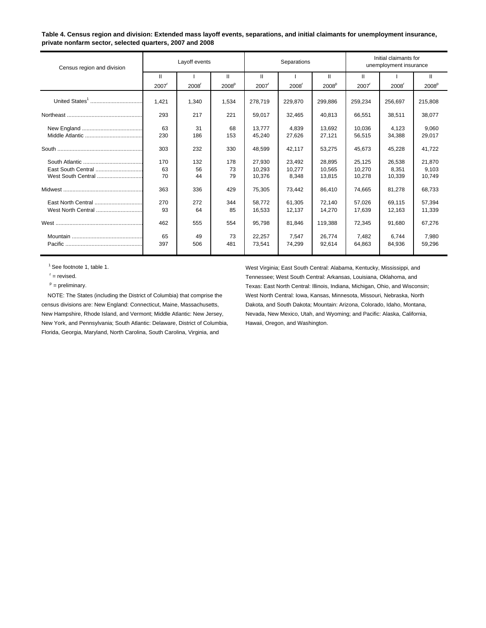#### **Table 4. Census region and division: Extended mass layoff events, separations, and initial claimants for unemployment insurance, private nonfarm sector, selected quarters, 2007 and 2008**

| Census region and division | Layoff events     |       |                   | Separations         |         |                   | Initial claimants for<br>unemployment insurance |         |                   |
|----------------------------|-------------------|-------|-------------------|---------------------|---------|-------------------|-------------------------------------------------|---------|-------------------|
|                            | Ш                 |       | Ш                 | Ш                   |         | Ш                 | Ш                                               |         | $\mathbf{H}$      |
|                            | 2007 <sup>r</sup> | 2008  | 2008 <sup>p</sup> | $2007$ <sup>r</sup> | 2008    | 2008 <sup>p</sup> | $2007$ <sup><math>r</math></sup>                | 2008    | 2008 <sup>p</sup> |
|                            | 1,421             | 1,340 | 1,534             | 278,719             | 229,870 | 299,886           | 259,234                                         | 256,697 | 215,808           |
|                            | 293               | 217   | 221               | 59,017              | 32,465  | 40,813            | 66,551                                          | 38,511  | 38,077            |
|                            | 63                | 31    | 68                | 13.777              | 4.839   | 13.692            | 10.036                                          | 4,123   | 9.060             |
|                            | 230               | 186   | 153               | 45,240              | 27,626  | 27,121            | 56,515                                          | 34,388  | 29,017            |
|                            | 303               | 232   | 330               | 48,599              | 42.117  | 53,275            | 45,673                                          | 45,228  | 41,722            |
|                            | 170               | 132   | 178               | 27,930              | 23,492  | 28,895            | 25,125                                          | 26,538  | 21,870            |
| East South Central         | 63                | 56    | 73                | 10,293              | 10,277  | 10,565            | 10,270                                          | 8,351   | 9,103             |
| West South Central         | 70                | 44    | 79                | 10,376              | 8,348   | 13,815            | 10,278                                          | 10,339  | 10,749            |
|                            | 363               | 336   | 429               | 75,305              | 73,442  | 86,410            | 74,665                                          | 81,278  | 68,733            |
| East North Central         | 270               | 272   | 344               | 58.772              | 61.305  | 72,140            | 57,026                                          | 69,115  | 57,394            |
| West North Central         | 93                | 64    | 85                | 16,533              | 12,137  | 14,270            | 17,639                                          | 12,163  | 11,339            |
|                            | 462               | 555   | 554               | 95,798              | 81,846  | 119,388           | 72,345                                          | 91,680  | 67,276            |
|                            | 65                | 49    | 73                | 22,257              | 7,547   | 26.774            | 7.482                                           | 6.744   | 7.980             |
|                            | 397               | 506   | 481               | 73,541              | 74,299  | 92,614            | 64,863                                          | 84.936  | 59,296            |
|                            |                   |       |                   |                     |         |                   |                                                 |         |                   |

census divisions are: New England: Connecticut, Maine, Massachusetts, **Dakota, and South Dakota; Mountain: Arizona**, Colorado, Idaho, Montana, New Hampshire, Rhode Island, and Vermont; Middle Atlantic: New Jersey, Nevada, New Mexico, Utah, and Wyoming; and Pacific: Alaska, California, New York, and Pennsylvania; South Atlantic: Delaware, District of Columbia, Hawaii, Oregon, and Washington. Florida, Georgia, Maryland, North Carolina, South Carolina, Virginia, and

 1 See footnote 1, table 1. West Virginia; East South Central: Alabama, Kentucky, Mississippi, and <sup>r</sup> = revised. Tennessee; West South Central: Arkansas, Louisiana, Oklahoma, and p = preliminary. Texas: East North Central: Illinois, Indiana, Michigan, Ohio, and Wisconsin; NOTE: The States (including the District of Columbia) that comprise the West North Central: Iowa, Kansas, Minnesota, Missouri, Nebraska, North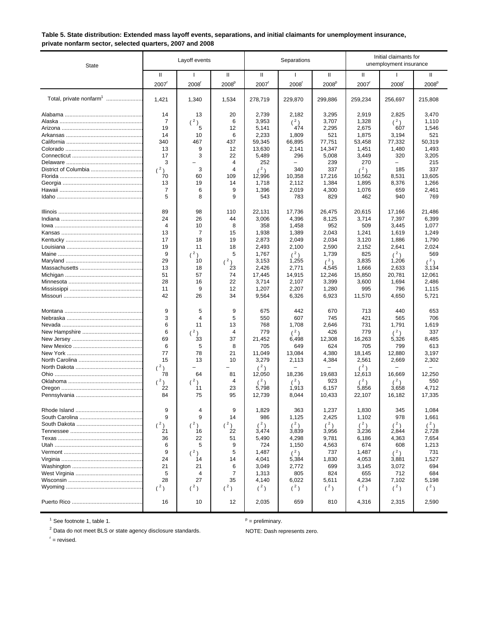### **Table 5. State distribution: Extended mass layoff events, separations, and initial claimants for unemployment insurance, private nonfarm sector, selected quarters, 2007 and 2008**

| State                               |                                                                                       | Layoff events                                                                        |                                                                                     |                                                                                                                   | Separations                                                                                                            |                                                                                                                 |                                                                                                                 | Initial claimants for<br>unemployment insurance                                                                 |                                                                                                                    |  |
|-------------------------------------|---------------------------------------------------------------------------------------|--------------------------------------------------------------------------------------|-------------------------------------------------------------------------------------|-------------------------------------------------------------------------------------------------------------------|------------------------------------------------------------------------------------------------------------------------|-----------------------------------------------------------------------------------------------------------------|-----------------------------------------------------------------------------------------------------------------|-----------------------------------------------------------------------------------------------------------------|--------------------------------------------------------------------------------------------------------------------|--|
|                                     | Ш<br>2007                                                                             | $\mathbf{I}$<br>2008                                                                 | Ш<br>2008 <sup>p</sup>                                                              | Ш<br>2007                                                                                                         | $\mathbf{I}$<br>2008                                                                                                   | Ш<br>2008 <sup>p</sup>                                                                                          | Ш<br>2007                                                                                                       | $\mathbf{I}$<br>2008                                                                                            | Ш<br>2008 <sup>p</sup>                                                                                             |  |
| Total, private nonfarm <sup>1</sup> | 1,421                                                                                 | 1,340                                                                                | 1,534                                                                               | 278,719                                                                                                           | 229,870                                                                                                                | 299,886                                                                                                         | 259,234                                                                                                         | 256,697                                                                                                         | 215,808                                                                                                            |  |
| District of Columbia                | 14<br>7<br>19<br>14<br>340<br>13<br>17<br>3<br>(2)<br>70<br>13<br>7<br>5              | 13<br>(2)<br>5<br>10<br>467<br>9<br>3<br>3<br>60<br>19<br>6<br>8                     | 20<br>6<br>12<br>6<br>437<br>12<br>22<br>$\overline{4}$<br>4<br>109<br>14<br>9<br>9 | 2,739<br>3,953<br>5,141<br>2,233<br>59,345<br>13,630<br>5,489<br>252<br>(2)<br>12,996<br>1,718<br>1,396<br>543    | 2,182<br>$(^2)$<br>474<br>1,809<br>66,895<br>2,141<br>296<br>340<br>10,358<br>2,112<br>2,019<br>783                    | 3,295<br>3,707<br>2,295<br>521<br>77,751<br>14,347<br>5,008<br>239<br>337<br>17,216<br>1,384<br>4,300<br>829    | 2,919<br>1,328<br>2,675<br>1,875<br>53,458<br>1,451<br>3,449<br>270<br>(2)<br>10,562<br>1,895<br>1,076<br>462   | 2,825<br>$(^2)$<br>607<br>3,194<br>77,332<br>1,480<br>320<br>185<br>8,531<br>8,376<br>659<br>940                | 3,470<br>1,110<br>1,546<br>521<br>50,319<br>1,493<br>3,205<br>215<br>337<br>13,605<br>1,266<br>2,461<br>769        |  |
|                                     | 89<br>24<br>$\overline{4}$<br>13<br>17<br>19<br>9<br>29<br>13<br>51<br>28<br>11<br>42 | 98<br>26<br>10<br>7<br>18<br>11<br>$(^2)$<br>10<br>18<br>57<br>16<br>9<br>26         | 110<br>44<br>8<br>15<br>19<br>18<br>5<br>$(^2)$<br>23<br>74<br>22<br>12<br>34       | 22.131<br>3,006<br>358<br>1,938<br>2,873<br>2,493<br>1,767<br>3,153<br>2,426<br>17,445<br>3,714<br>1,207<br>9,564 | 17,736<br>4,396<br>1,458<br>1,389<br>2,049<br>2,100<br>(2)<br>1,255<br>2,771<br>14,915<br>2,107<br>2,207<br>6,326      | 26,475<br>8,125<br>952<br>2,043<br>2,034<br>2,590<br>1,739<br>(2)<br>4,545<br>12,246<br>3,399<br>1,280<br>6,923 | 20,615<br>3,714<br>509<br>1,241<br>3,120<br>2,152<br>825<br>3,835<br>1,666<br>15,850<br>3,600<br>995<br>11,570  | 17,166<br>7,397<br>3,445<br>1,619<br>1,886<br>2,641<br>(2)<br>1,206<br>2,633<br>20,781<br>1,694<br>796<br>4,650 | 21,486<br>6,399<br>1,077<br>1,249<br>1,790<br>2,024<br>569<br>$(^2)$<br>3,134<br>12,061<br>2,486<br>1,115<br>5,721 |  |
|                                     | 9<br>3<br>6<br>6<br>69<br>6<br>77<br>15<br>(2)<br>78<br>(2)<br>22<br>84               | 5<br>4<br>11<br>2)<br>33<br>5<br>78<br>13<br>64<br>$(^2)$<br>11<br>75                | 9<br>5<br>13<br>$\overline{4}$<br>37<br>8<br>21<br>10<br>81<br>4<br>23<br>95        | 675<br>550<br>768<br>779<br>21,452<br>705<br>11,049<br>3,279<br>$(^2)$<br>12,050<br>(2)<br>5,798<br>12,739        | 442<br>607<br>1,708<br>(2)<br>6,498<br>649<br>13,084<br>2,113<br>18,236<br>(2)<br>1,913<br>8,044                       | 670<br>745<br>2,646<br>426<br>12,308<br>624<br>4,380<br>4,384<br>19,683<br>923<br>6,157<br>10,433               | 713<br>421<br>731<br>779<br>16,263<br>705<br>18,145<br>2,561<br>(2)<br>12,613<br>(2)<br>5,856<br>22,107         | 440<br>565<br>1,791<br>(2)<br>5,326<br>799<br>12,880<br>2,669<br>16,669<br>(2)<br>3,658<br>16,182               | 653<br>706<br>1,619<br>337<br>8,485<br>613<br>3,197<br>2,302<br>12,250<br>550<br>4,712<br>17,335                   |  |
|                                     | 9<br>9<br>$(^2)$<br>21<br>36<br>6<br>9<br>24<br>21<br>5<br>28<br>$(^2)$<br>16         | 4<br>9<br>$(^2)$<br>16<br>22<br>5<br>$(^{2})$<br>14<br>21<br>4<br>27<br>$(^2)$<br>10 | 9<br>14<br>$(^2)$<br>22<br>51<br>9<br>5<br>14<br>6<br>7<br>35<br>$(^2)$<br>12       | 1,829<br>986<br>$(^2)$<br>3,474<br>5,490<br>724<br>1,487<br>4,041<br>3,049<br>1,313<br>4,140<br>(2)<br>2,035      | 363<br>1,125<br>$({}^{2})$<br>3,839<br>4,298<br>1,150<br>$({}^{2})$<br>5,384<br>2,772<br>805<br>6,022<br>$(^2)$<br>659 | 1,237<br>2,425<br>(2)<br>3,956<br>9,781<br>4,563<br>737<br>1,830<br>699<br>824<br>5,611<br>$(^2)$<br>810        | 1,830<br>1,102<br>$(^2)$<br>3,236<br>6,186<br>674<br>1,487<br>4,053<br>3,145<br>655<br>4,234<br>$(^2)$<br>4,316 | 345<br>978<br>$(^2)$<br>2,844<br>4,363<br>608<br>(2)<br>3,881<br>3,072<br>712<br>7,102<br>$(^2)$<br>2,315       | 1,084<br>1,661<br>$(^2)$<br>2,728<br>7,654<br>1,213<br>731<br>1,527<br>694<br>684<br>5,198<br>$(^2)$<br>2,590      |  |

 $<sup>1</sup>$  See footnote 1, table 1.</sup>

 $P =$  preliminary.

 $^{2}$  Data do not meet BLS or state agency disclosure standards. NOTE: Dash represents zero.

 $r =$  revised.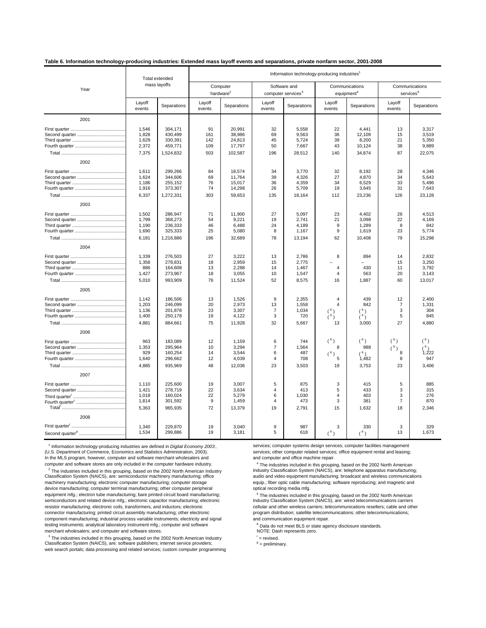#### **Table 6. Information technology-producing industries: Extended mass layoff events and separations, private nonfarm sector, 2001-2008**

|      |                  | Total extended |                                   |             | Information technology-producing industries <sup>1</sup> |             |                                          |             |                                         |             |
|------|------------------|----------------|-----------------------------------|-------------|----------------------------------------------------------|-------------|------------------------------------------|-------------|-----------------------------------------|-------------|
| Year |                  | mass layoffs   | Computer<br>hardware <sup>2</sup> |             | Software and<br>computer services <sup>3</sup>           |             | Communications<br>equipment <sup>4</sup> |             | Communications<br>services <sup>5</sup> |             |
|      | Layoff<br>events | Separations    | Layoff<br>events                  | Separations | Layoff<br>events                                         | Separations | Layoff<br>events                         | Separations | Layoff<br>events                        | Separations |
| 2001 |                  |                |                                   |             |                                                          |             |                                          |             |                                         |             |
|      | 1,546            | 304.171        | 91                                | 20.991      | 32                                                       | 5,558       | 22                                       | 4.441       | 13                                      | 3.317       |
|      | 1,828            | 430,499        | 161                               | 38,986      | 69                                                       | 9,563       | 36                                       | 12,109      | 15                                      | 3,519       |
|      | 1,629            | 330,391        | 142                               | 24,813      | 45                                                       | 5,724       | 39                                       | 8,200       | 21                                      | 5,350       |
|      | 2,372            | 459,771        | 109                               | 17,797      | 50                                                       | 7,667       | 43                                       | 10,124      | 38                                      | 9,889       |
|      | 7,375            | 1,524,832      | 503                               | 102,587     | 196                                                      | 28,512      | 140                                      | 34,874      | 87                                      | 22,075      |
| 2002 |                  |                |                                   |             |                                                          |             |                                          |             |                                         |             |
|      | 1.611            | 299.266        | 84                                | 18.574      | 34                                                       | 3.770       | 32                                       | 8.192       | 28                                      | 4.346       |
|      | 1,624            | 344,606        | 69                                | 11,764      | 39                                                       | 4,326       | 27                                       | 4,870       | 34                                      | 5,643       |
|      | 1,186            | 255,152        | 76                                | 15,017      | 36                                                       | 4,359       | 34                                       | 6,529       | 33                                      | 5,496       |
|      | 1,916            | 373,307        | 74                                | 14,298      | 26                                                       | 5,709       | 19                                       | 3,645       | 31                                      | 7,643       |
|      | 6,337            | 1,272,331      | 303                               | 59,653      | 135                                                      | 18,164      | 112                                      | 23,236      | 126                                     | 23,128      |
| 2003 |                  |                |                                   |             |                                                          |             |                                          |             |                                         |             |
|      | 1,502            | 286,947        | 71                                | 11,900      | 27                                                       | 5,097       | 23                                       | 4,402       | 26                                      | 4,513       |
|      | 1,799            | 368,273        | 54                                | 9,221       | 19                                                       | 2.741       | 21                                       | 3,098       | 22                                      | 4,169       |
|      | 1,190            | 236,333        | 46                                | 6,488       | 24                                                       | 4,189       | 9                                        | 1,289       | 8                                       | 842         |
|      | 1,690            | 325,333        | 25                                | 5,080       | 8                                                        | 1,167       | 9                                        | 1,619       | 23                                      | 5,774       |
|      | 6,181            | 1,216,886      | 196                               | 32,689      | 78                                                       | 13,194      | 62                                       | 10,408      | 79                                      | 15,298      |
| 2004 |                  |                |                                   |             |                                                          |             |                                          |             |                                         |             |
|      | 1,339            | 276,503        | 27                                | 3,222       | 13                                                       | 2,786       | 8                                        | 894         | 14                                      | 2,832       |
|      | 1,358            | 278,831        | 18                                | 2,959       | 15                                                       | 2,775       |                                          |             | 15                                      | 3,250       |
|      | 886              | 164,608        | 13                                | 2,288       | 14                                                       | 1,467       | $\overline{4}$                           | 430         | 11                                      | 3,792       |
|      | 1,427            | 273,967        | 18                                | 3,055       | 10                                                       | 1,547       | $\overline{4}$                           | 563         | 20                                      | 3,143       |
|      | 5,010            | 993,909        | 76                                | 11,524      | 52                                                       | 8,575       | 16                                       | 1,887       | 60                                      | 13,017      |
| 2005 |                  |                |                                   |             |                                                          |             |                                          |             |                                         |             |
|      | 1.142            | 186,506        | 13                                | 1,526       | 9                                                        | 2.355       | $\overline{4}$                           | 439         | 12                                      | 2.400       |
|      | 1,203            | 246,099        | 20                                | 2,973       | 13                                                       | 1,558       | $\overline{\mathbf{A}}$                  | 842         | $\overline{7}$                          | 1,331       |
|      | 1,136            | 201,878        | 23                                | 3,307       | $\overline{7}$                                           | 1,034       | (6)                                      | (6)         | 3                                       | 304         |
|      | 1,400            | 250,178        | 19                                | 4,122       | 3                                                        | 720         | (6)                                      | (6)         | 5                                       | 845         |
|      | 4,881            | 884,661        | 75                                | 11,928      | 32                                                       | 5,667       | 13                                       | 3,000       | 27                                      | 4,880       |
| 2006 |                  |                |                                   |             |                                                          |             |                                          |             |                                         |             |
|      | 963              | 183,089        | 12                                | 1,159       | 6                                                        | 744         | (6)                                      | $(^{6})$    | $(^{6})$                                |             |
|      | 1,353            | 295,964        | 10                                | 3,294       | $\overline{7}$                                           | 1,564       | 8                                        | 988         | $(^{6})$                                |             |
|      | 929              | 160,254        | 14                                | 3,544       | 6                                                        | 487         | $($ <sup>6</sup>                         | (6)         | 8                                       | 1.222       |
|      | 1.640            | 296,662        | 12                                | 4,039       | $\overline{4}$                                           | 708         | 5                                        | 1.482       | 8                                       | 947         |
|      | 4,885            | 935,969        | 48                                | 12,036      | 23                                                       | 3,503       | 19                                       | 3,753       | 23                                      | 3,406       |
| 2007 |                  |                |                                   |             |                                                          |             |                                          |             |                                         |             |
|      | 1,110            | 225,600        | 19                                | 3,007       | 5                                                        | 875         | 3                                        | 415         | 5                                       | 885         |
|      | 1,421            | 278,719        | 22                                | 3,634       | $\overline{4}$                                           | 413         | 5                                        | 433         | 3                                       | 315         |
|      | 1,018            | 160,024        | 22                                | 5,279       | 6                                                        | 1,030       | $\overline{4}$                           | 403         | 3                                       | 276         |
|      | 1,814            | 301,592        | 9                                 | 1,459       | $\overline{4}$                                           | 473         | 3                                        | 381         | $\overline{7}$                          | 870         |
|      | 5.363            | 965.935        | 72                                | 13,379      | 19                                                       | 2,791       | 15                                       | 1.632       | 18                                      | 2.346       |
| 2008 |                  |                |                                   |             |                                                          |             |                                          |             |                                         |             |
|      | 1,340            | 229,870        | 19                                | 3.040       | 9                                                        | 987         | 3                                        | 330         | 3                                       | 329         |
|      | 1,534            | 299,886        | 19                                | 3,181       | 5                                                        | 618         | $(^{6})$                                 | (6)         | 13                                      | 1,673       |

(U.S. Department of Commerce, Economics and Statistics Administration, 2003). The services; other computer related services; office equipment rental and leasing;<br>In the MLS program, however, computer and software merchant In the MLS program, however, computer and software merchant wholesalers and

<sup>2</sup> The industries included in this grouping, based on the 2002 North American Industry Industry Classification System (NAICS), are: telephone apparatus manufacturing; Classification System (NAICS), are: semiconductor machinery manufacturing; office audio and video equipment manufacturing; broadcast and wireless communications machinery manufacturing; electronic computer manufacturing; computer storage equip.; fiber optic cable manufacturing; software reproducing; and magnetic and device manufacturing; computer terminal manufacturing; other computer peripheral optical recording media mfg.<br>
equipment mfg.; electron tube manufacturing; bare printed circuit board manufacturing; <br>
Fine industries includ semiconductors and related device mfg.; electronic capacitor manufacturing; electronic resistor manufacturing; electronic coils, transformers, and inductors; electronic connector manufacturing; printed circuit assembly manufacturing; other electronic program distribution; satellite telecomm<br>component manufacturing; industrial process variable instruments; electricity and signal and commun component manufacturing; industrial process variable instruments; electricity and signal testing instruments; analytical laboratory instrument mfg.; computer and software and software example of Data do not meet BLS or state agency disclosure standards.<br>
MOTE: Dash represents zero. merchant wholesalers; and computer and software stores.

<sup>3</sup> The industries included in this grouping, based on the 2002 North American Industry **Frace Communist Communist**<br>Classification System (NAICS), are: software publishers; internet service providers; **providers** prelimin web search portals; data processing and related services; custom computer programming

<sup>1</sup> Information technology-producing industries are defined in Digital Economy 2003, services; computer systems design services; computer facilities management

computer and software stores are only included in the computer hardware industry.<br><sup>4</sup> The industries included in this grouping, based on the 2002 North American Industry and Industry Classification System (NAICS), are: tel

 $\frac{1}{5}$  The industries included in this grouping, based on the 2002 North American Industry Classification System (NAICS), are: wired telecommunications carriers cellular and other wireless carriers; telecommunications resellers; cable and other program distribution; satellite telecommunications; other telecommunications;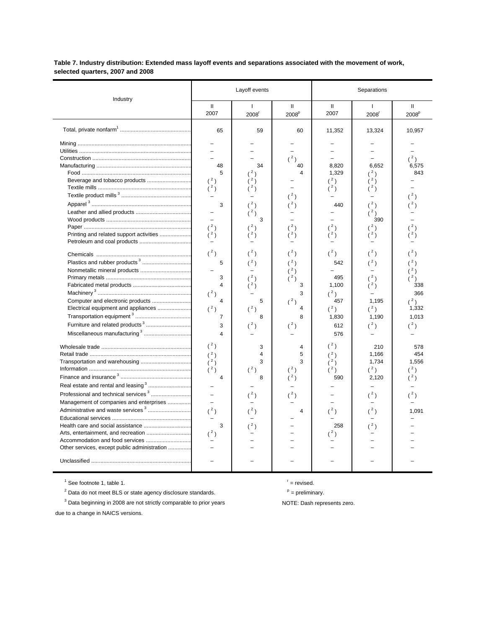### **Table 7. Industry distribution: Extended mass layoff events and separations associated with the movement of work, selected quarters, 2007 and 2008**

| Industry                                                                                                                                                                                                                                                                                                                                                                                                          |                                                                                                                                                                                                                                                                                                                               | Layoff events                                                                                                                                               |                                                                                                                                                                                     | Separations                                                                                                                                                                        |                                                                                                                                                                                                |                                                                                                                                                       |  |
|-------------------------------------------------------------------------------------------------------------------------------------------------------------------------------------------------------------------------------------------------------------------------------------------------------------------------------------------------------------------------------------------------------------------|-------------------------------------------------------------------------------------------------------------------------------------------------------------------------------------------------------------------------------------------------------------------------------------------------------------------------------|-------------------------------------------------------------------------------------------------------------------------------------------------------------|-------------------------------------------------------------------------------------------------------------------------------------------------------------------------------------|------------------------------------------------------------------------------------------------------------------------------------------------------------------------------------|------------------------------------------------------------------------------------------------------------------------------------------------------------------------------------------------|-------------------------------------------------------------------------------------------------------------------------------------------------------|--|
|                                                                                                                                                                                                                                                                                                                                                                                                                   | $\mathbf{H}$<br>2007                                                                                                                                                                                                                                                                                                          | $\mathbf{I}$<br>2008 <sup>r</sup>                                                                                                                           | Ш<br>2008 <sup>p</sup>                                                                                                                                                              | $\mathbf{II}$<br>2007                                                                                                                                                              | $\mathbf{I}$<br>2008 <sup>r</sup>                                                                                                                                                              | $\mathbf{H}$<br>2008 <sup>p</sup>                                                                                                                     |  |
|                                                                                                                                                                                                                                                                                                                                                                                                                   | 65                                                                                                                                                                                                                                                                                                                            | 59                                                                                                                                                          | 60                                                                                                                                                                                  | 11,352                                                                                                                                                                             | 13,324                                                                                                                                                                                         | 10,957                                                                                                                                                |  |
| Printing and related support activities<br>Computer and electronic products<br>Electrical equipment and appliances<br>Furniture and related products <sup>3</sup><br>Miscellaneous manufacturing <sup>3</sup><br>Real estate and rental and leasing <sup>3</sup><br>Professional and technical services <sup>3</sup><br>Management of companies and enterprises<br>Administrative and waste services <sup>3</sup> | 48<br>5<br>(2)<br>3<br>$\overline{\phantom{0}}$<br>(2)<br>(2)<br>$(^2)$<br>5<br>$\overline{a}$<br>3<br>$\overline{4}$<br>$(^2)$<br>$\overline{4}$<br>(2)<br>$\overline{7}$<br>3<br>$\overline{\mathbf{4}}$<br>$(^2)$<br>(2)<br>$(^2)$<br>(2)<br>$\overline{4}$<br>$\overline{\phantom{0}}$<br>$\overline{\phantom{0}}$<br>(2) | 34<br>(2)<br>2)<br>(2)<br>(2)<br>3<br>(2)<br>(2)<br>(2)<br>(2)<br>5<br>$(^2)$<br>8<br>$(^{2})$<br>3<br>$\overline{\mathbf{4}}$<br>3<br>$(^{2})$<br>8<br>(2) | (2)<br>40<br>4<br>(2)<br>(2)<br>(2)<br>(2)<br>$(^2)$<br>$(^2)$<br>$(^2)$<br>(2)<br>3<br>3<br>$(^2)$<br>4<br>8<br>$(^2)$<br>4<br>5<br>3<br>$(^2)$<br>$(^2)$<br>(2)<br>$\overline{4}$ | 8,820<br>1,329<br>$(^2)$<br>(2)<br>440<br>$^2)$<br>$(^2)$<br>542<br>495<br>1,100<br>$(^2)$<br>457<br>$(^2)$<br>1,830<br>612<br>576<br>(2)<br>(2)<br>$(^2)$<br>(3)<br>590<br>$(^2)$ | 6,652<br>(2)<br>$^2)$<br>(2)<br>(2)<br>390<br>(2)<br>(2)<br>$(^{2})$<br>(2)<br>(2)<br>(2)<br>1.195<br>$(^2)$<br>1,190<br>$(^2)$<br>210<br>1,166<br>1,734<br>$(^2)$<br>2,120<br>$(^{2})$<br>(2) | (2)<br>6,575<br>843<br>(2)<br>(2)<br>(2)<br>(2)<br>338<br>366<br>$(^2)$<br>1,332<br>1,013<br>(2)<br>578<br>454<br>1,556<br>(3)<br>(3)<br>(2)<br>1,091 |  |
| Other services, except public administration                                                                                                                                                                                                                                                                                                                                                                      | 3<br>(2)<br>$\equiv$                                                                                                                                                                                                                                                                                                          |                                                                                                                                                             | $=$                                                                                                                                                                                 | 258<br>(3)                                                                                                                                                                         |                                                                                                                                                                                                |                                                                                                                                                       |  |
|                                                                                                                                                                                                                                                                                                                                                                                                                   |                                                                                                                                                                                                                                                                                                                               |                                                                                                                                                             |                                                                                                                                                                                     |                                                                                                                                                                                    |                                                                                                                                                                                                |                                                                                                                                                       |  |

 $\frac{1}{1}$  See footnote 1, table 1.

<sup>2</sup> Data do not meet BLS or state agency disclosure standards.  $P =$  preliminary.

<sup>3</sup> Data beginning in 2008 are not strictly comparable to prior years **NOTE:** Dash represents zero.

due to a change in NAICS versions.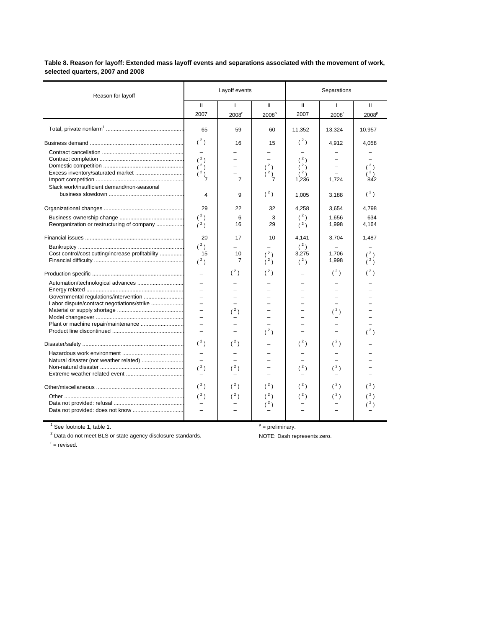**Table 8. Reason for layoff: Extended mass layoff events and separations associated with the movement of work, selected quarters, 2007 and 2008**

| Reason for layoff                                |                                                 | Layoff events                       |                                                   | Separations                                                    |                                     |                                         |  |
|--------------------------------------------------|-------------------------------------------------|-------------------------------------|---------------------------------------------------|----------------------------------------------------------------|-------------------------------------|-----------------------------------------|--|
|                                                  | Ш<br>2007                                       | $\mathbf{I}$<br>2008 <sup>r</sup>   | Ш<br>2008 <sup>p</sup>                            | Ш<br>2007                                                      | Ι.<br>2008 <sup>r</sup>             | $\mathbf{H}$<br>2008 <sup>p</sup>       |  |
|                                                  | 65                                              | 59                                  | 60                                                | 11,352                                                         | 13,324                              | 10,957                                  |  |
| Slack work/insufficient demand/non-seasonal      | (2)<br>(2)<br>(2)<br>(2)<br>$\overline{7}$<br>4 | 16<br>$\overline{7}$<br>9           | 15<br>$(^2)$<br>(2)<br>$\overline{7}$<br>$(^{2})$ | $(^2)$<br>(2)<br>(2)<br>(2)<br>1,236<br>1,005                  | 4,912<br>1.724<br>3,188             | 4,058<br>$(^2)$<br>(2)<br>842<br>$(^2)$ |  |
| Reorganization or restructuring of company       | 29<br>$(^2)$<br>(2)<br>20<br>$(^2)$             | 22<br>6<br>16<br>17                 | 32<br>3<br>29<br>10                               | 4,258<br>$\binom{2}{ }$<br>$\binom{2}{ }$<br>4,141<br>$(^{2})$ | 3,654<br>1,656<br>1,998<br>3,704    | 4,798<br>634<br>4,164<br>1,487          |  |
| Cost control/cost cutting/increase profitability | 15<br>(2)                                       | 10<br>$\overline{7}$                | (2)<br>(2)                                        | 3,275<br>(2)                                                   | 1,706<br>1,998                      | (2)<br>(2)                              |  |
|                                                  | L,<br>÷,<br>÷,                                  | $({}^{2})$<br>(2)                   | $(^2)$<br>(2)                                     |                                                                | (2)<br>(2)                          | (2)<br>(2)                              |  |
|                                                  | $({}^{2})$<br>$(^2)$<br>$(^2)$<br>$(^2)$        | $(^2)$<br>$(^2)$<br>(2)<br>$(^{2})$ | $({}^{2})$<br>$(^{2})$<br>$(^2)$                  | $({}^{2})$<br>(2)<br>(2)<br>(2)                                | $(^2)$<br>$(^2)$<br>(2)<br>$(^{2})$ | (2)                                     |  |

 $\overline{1}$  See footnote 1, table 1.

<sup>2</sup> Data do not meet BLS or state agency disclosure standards. NOTE: Dash represents zero.

 $P =$  preliminary.

 $r =$  revised.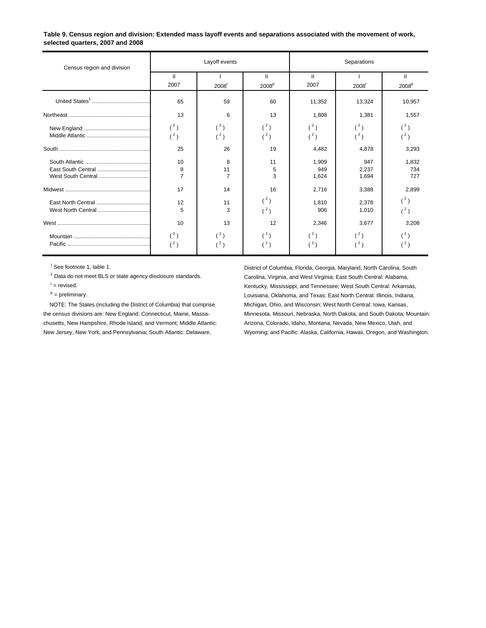#### **Table 9. Census region and division: Extended mass layoff events and separations associated with the movement of work, selected quarters, 2007 and 2008**

| Census region and division |                           | Layoff events             |                                   | Separations           |                       |                                   |  |
|----------------------------|---------------------------|---------------------------|-----------------------------------|-----------------------|-----------------------|-----------------------------------|--|
|                            | $\mathbf{H}$<br>2007      | $2008$ <sup>r</sup>       | $\mathbf{H}$<br>2008 <sup>p</sup> | $\mathbf{I}$<br>2007  | 2008 <sup>r</sup>     | $\mathbf{H}$<br>2008 <sup>p</sup> |  |
|                            | 65                        | 59                        | 60                                | 11,352                | 13,324                | 10,957                            |  |
|                            | 13                        | 6                         | 13                                | 1,808                 | 1,381                 | 1,557                             |  |
|                            | $(^{2})$<br>(3)           | (2)<br>(2)                | $({}^{2})$<br>$(^2)$              | $(^{2})$<br>$(^2)$    | $({}^{2})$<br>$(^2)$  | $({}^{2})$<br>(2)                 |  |
|                            | 25                        | 26                        | 19                                | 4,482                 | 4,878                 | 3,293                             |  |
|                            | 10<br>8<br>$\overline{7}$ | 8<br>11<br>$\overline{7}$ | 11<br>5<br>3                      | 1,909<br>949<br>1,624 | 947<br>2,237<br>1,694 | 1,832<br>734<br>727               |  |
|                            | 17                        | 14                        | 16                                | 2,716                 | 3,388                 | 2,899                             |  |
|                            | 12<br>5                   | 11<br>3                   | $({}^{2})$<br>$(^2)$              | 1,810<br>906          | 2,378<br>1,010        | (2)<br>(3)                        |  |
|                            | 10                        | 13                        | 12                                | 2,346                 | 3,677                 | 3,208                             |  |
|                            | $(^2)$<br>(2)             | (2)<br>(2)                | $({}^{2})$<br>(2)                 | $(^{2})$<br>(2)       | $(^2)$<br>$(^2)$      | (2)<br>(2)                        |  |

- 
- 

chusetts, New Hampshire, Rhode Island, and Vermont; Middle Atlantic: Arizona, Colorado, Idaho, Montana, Nevada, New Mexico, Utah, and

<sup>1</sup> See footnote 1, table 1.<br><sup>2</sup> Data do not meet BLS or state agency disclosure standards. Carolina, Virginia, and West Virginia; East South Central: Alabama, Carolina, Virginia, and West Virginia; East South Central: Alabama, r = revised. Kentucky, Mississippi, and Tennessee; West South Central: Arkansas, p = preliminary. The preliminary contral: Illinois, Indiana, Chahoma, and Texas: East North Central: Illinois, Indiana, NOTE: The States (including the District of Columbia) that comprise Michigan, Ohio, and Wisconsin; West North Central: Iowa, Kansas, the census divisions are: New England: Connecticut, Maine, Massa- Minnesota, Missouri, Nebraska, North Dakota, and South Dakota; Mountain: New Jersey, New York, and Pennsylvania; South Atlantic: Delaware, Wyoming; and Pacific: Alaska, California, Hawaii, Oregon, and Washington.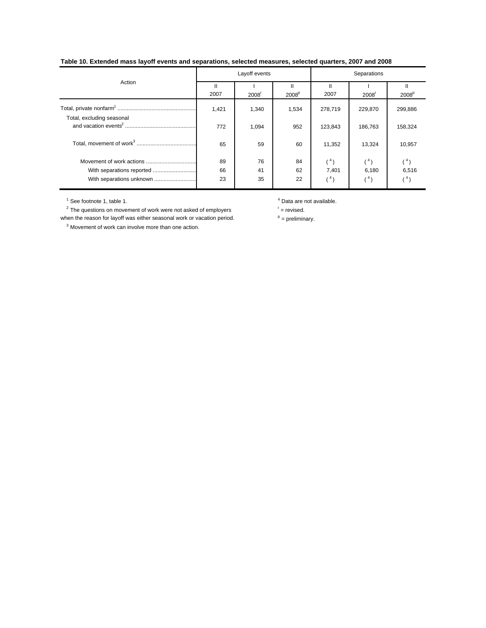# **Table 10. Extended mass layoff events and separations, selected measures, selected quarters, 2007 and 2008**

|                           |           | Layoff events     |                        | Separations |                   |                   |  |
|---------------------------|-----------|-------------------|------------------------|-------------|-------------------|-------------------|--|
| Action                    | Ш<br>2007 | 2008 <sup>r</sup> | н<br>2008 <sup>p</sup> | 2007        | 2008 <sup>r</sup> | 2008 <sup>p</sup> |  |
| Total, excluding seasonal | 1,421     | 1,340             | 1,534                  | 278,719     | 229,870           | 299,886           |  |
|                           | 772       | 1,094             | 952                    | 123.843     | 186,763           | 158,324           |  |
|                           | 65        | 59                | 60                     | 11,352      | 13,324            | 10,957            |  |
|                           | 89        | 76                | 84                     | $(^{4})$    | $(^{4})$          | (4)               |  |
| With separations reported | 66        | 41                | 62                     | 7,401       | 6,180             | 6,516             |  |
| With separations unknown  | 23        | 35                | 22                     | (4)         | $^{\prime 4}$ )   |                   |  |

 $2$  The questions on movement of work were not asked of employers  $r =$  revised. when the reason for layoff was either seasonal work or vacation period.  $P =$  preliminary.

3 Movement of work can involve more than one action.

 $^4$  See footnote 1, table 1.  $^4$  Data are not available.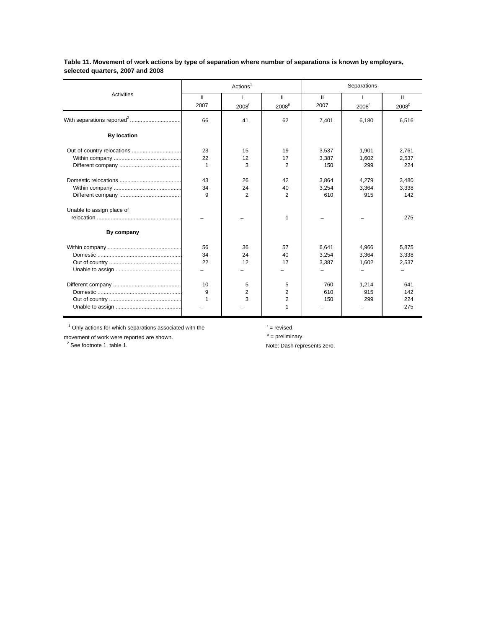|                           |                | Actions <sup>1</sup> |                        | Separations          |                     |                        |  |
|---------------------------|----------------|----------------------|------------------------|----------------------|---------------------|------------------------|--|
| Activities                | Ш<br>2007      | 2008 <sup>r</sup>    | Ш<br>2008 <sup>p</sup> | $\mathbf{I}$<br>2007 | $2008$ <sup>r</sup> | Ш<br>2008 <sup>p</sup> |  |
|                           | 66             | 41                   | 62                     | 7,401                | 6,180               | 6,516                  |  |
| <b>By location</b>        |                |                      |                        |                      |                     |                        |  |
|                           | 23             | 15                   | 19                     | 3.537                | 1,901               | 2,761                  |  |
|                           | 22             | 12                   | 17                     | 3.387                | 1,602               | 2.537                  |  |
|                           | $\overline{1}$ | 3                    | $\overline{2}$         | 150                  | 299                 | 224                    |  |
|                           | 43             | 26                   | 42                     | 3.864                | 4,279               | 3.480                  |  |
|                           | 34             | 24                   | 40                     | 3.254                | 3,364               | 3,338                  |  |
|                           | $\mathbf{q}$   | $\overline{2}$       | 2                      | 610                  | 915                 | 142                    |  |
| Unable to assign place of |                |                      |                        |                      |                     |                        |  |
|                           |                |                      | 1                      |                      |                     | 275                    |  |
| By company                |                |                      |                        |                      |                     |                        |  |
|                           | 56             | 36                   | 57                     | 6.641                | 4.966               | 5.875                  |  |
|                           | 34             | 24                   | 40                     | 3,254                | 3,364               | 3,338                  |  |
|                           | 22             | 12                   | 17                     | 3,387                | 1,602               | 2,537                  |  |
|                           |                |                      |                        |                      |                     |                        |  |
|                           | 10             | 5                    | 5                      | 760                  | 1,214               | 641                    |  |
|                           | 9              | $\overline{2}$       | $\overline{2}$         | 610                  | 915                 | 142                    |  |
|                           | $\overline{1}$ | 3                    | 2                      | 150                  | 299                 | 224                    |  |
|                           |                |                      | 1                      |                      |                     | 275                    |  |

**Table 11. Movement of work actions by type of separation where number of separations is known by employers, selected quarters, 2007 and 2008**

 $1$  Only actions for which separations associated with the  $1$  = revised.

movement of work were reported are shown.  $p = p$ reliminary.

Note: Dash represents zero.

 $2$  See footnote 1, table 1.